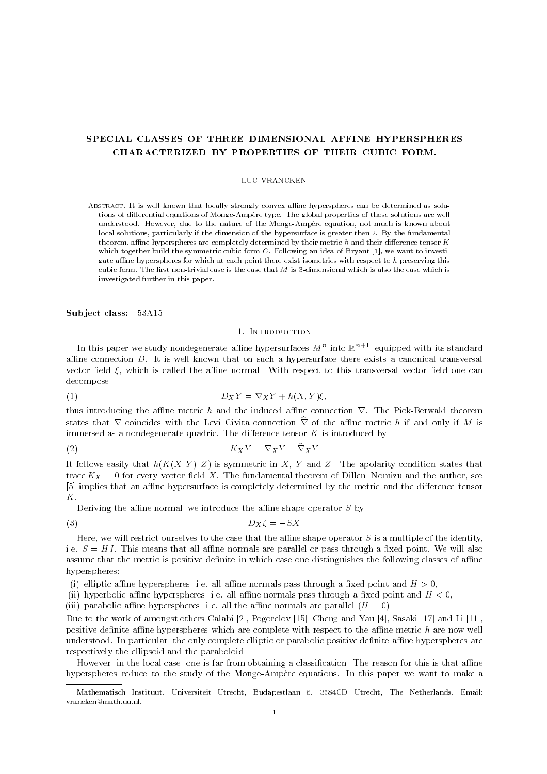# SPECIAL CLASSES OF THREE DIMENSIONAL AFFINE HYPERSPHERES CHARACTERIZED BY PROPERTIES OF THEIR CUBIC FORM.

#### LUC VRANCKEN

ABSTRACT. It is well known that locally strongly convex affine hyperspheres can be determined as solutions of differential equations of Monge-Ampère type. The global properties of those solutions are well understood. However, due to the nature of the Monge-Ampère equation, not much is known about local solutions, particularly if the dimension of the hypersurface is greater then 2. By the fundamental theorem, affine hyperspheres are completely determined by their metric  $h$  and their difference tensor  $K$ which together build the symmetric cubic form  $C$ . Following an idea of Bryant [1], we want to investigate affine hyperspheres for which at each point there exist isometries with respect to  $h$  preserving this cubic form. The first non-trivial case is the case that  $M$  is 3-dimensional which is also the case which is investigated further in this paper.

Subject class: 53A15

## 1. Introduction

In this paper we study nondegenerate alline hypersurfaces  $M^+$  into  $\mathbb{R}^{n+1}$ , equipped with its standard affine connection  $D$ . It is well known that on such a hypersurface there exists a canonical transversal vector field  $\xi$ , which is called the affine normal. With respect to this transversal vector field one can decompose

$$
(1) \t\t D_X Y = \nabla_X Y + h(X, Y)\xi,
$$

thus introducing the affine metric h and the induced affine connection  $\nabla$ . The Pick-Berwald theorem states that  $\nabla$  coincides with the Levi Civita connection  $\hat{\nabla}$  of the affine metric h if and only if M is immersed as a nondegenerate quadric. The difference tensor  $K$  is introduced by

$$
(2) \t\t K_X Y = \nabla_X Y - \nabla_X Y
$$

It follows easily that  $h(K(X, Y), Z)$  is symmetric in X, Y and Z. The apolarity condition states that trace  $K_X = 0$  for every vector field X. The fundamental theorem of Dillen, Nomizu and the author, see [5] implies that an affine hypersurface is completely determined by the metric and the difference tensor K.<br>Deriving the affine normal, we introduce the affine shape operator S by

$$
(3) \t\t D_X\xi = -SX
$$

Here, we will restrict ourselves to the case that the affine shape operator  $S$  is a multiple of the identity, i.e.  $S = H I$ . This means that all affine normals are parallel or pass through a fixed point. We will also assume that the metric is positive definite in which case one distinguishes the following classes of affine hyperspheres:

(i) elliptic affine hyperspheres, i.e. all affine normals pass through a fixed point and  $H > 0$ ,

(ii) hyperbolic affine hyperspheres, i.e. all affine normals pass through a fixed point and  $H < 0$ ,

(iii) parabolic affine hyperspheres, i.e. all the affine normals are parallel  $(H = 0)$ .

Due to the work of amongst others Calabi [2], Pogorelov [15], Cheng and Yau [4], Sasaki [17] and Li [11], positive definite affine hyperspheres which are complete with respect to the affine metric  $h$  are now well understood. In particular, the only complete elliptic or parabolic positive definite affine hyperspheres are respectively the ellipsoid and the paraboloid.

However, in the local case, one is far from obtaining a classification. The reason for this is that affine hyperspheres reduce to the study of the Monge-Ampère equations. In this paper we want to make a

Mathematisch Instituut, Universiteit Utrecht, Budapestlaan 6, 3584CD Utrecht, The Netherlands, Email: vrancken@math.uu.nl.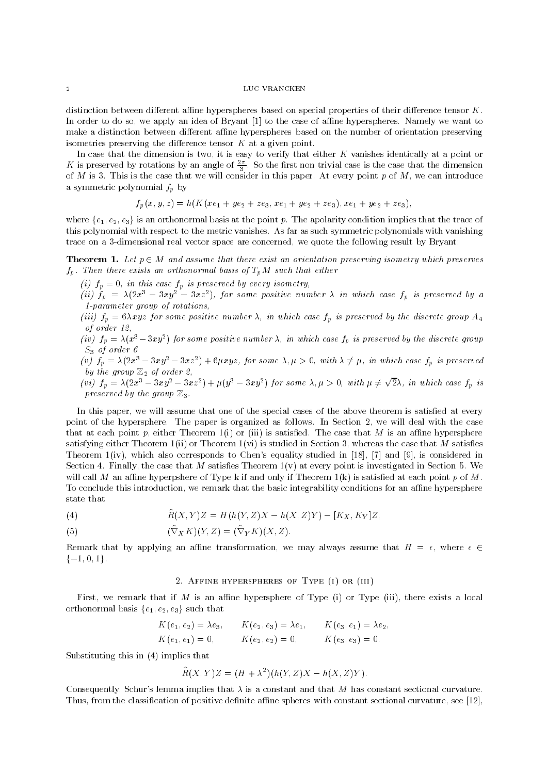distinction between different affine hyperspheres based on special properties of their difference tensor  $K$ . In order to do so, we apply an idea of Bryant [1] to the case of affine hyperspheres. Namely we want to make a distinction between different affine hyperspheres based on the number of orientation preserving isometries preserving the difference tensor  $K$  at a given point.

In case that the dimension is two, it is easy to verify that either K vanishes identically at a point or A is preserved by rotations by an angle of  $\frac{1}{2}$ . So the first non trivial case is the case that the dimension of M is 3. This 3. This is the case that we will consider in this paper. At every point p of M, we can introduce a symmetric polynomial  $f_p$  by

$$
f_p(x, y, z) = h(K(xe_1 + ye_2 + ze_3, xe_1 + ye_2 + ze_3), xe_1 + ye_2 + ze_3),
$$

where  $\{e_1, e_2, e_3\}$  is an orthonormal basis at the point p. The apolarity condition implies that the trace of this polynomial with respect to the metric vanishes. As far as such symmetric polynomials with vanishing trace on a 3-dimensional real vector space are concerned, we quote the following result by Bryant:

**Theorem 1.** Let  $p \in M$  and assume that there exist an orientation preserving isometry which preserves  $f_p$ . Then there exists an orthonormal basis of  $T_pM$  such that either

 $\left( \begin{array}{ccc} 1 & i & j \end{array} \right)$  for this case for this case for this preserved by every isometry, the case of the case of the case of the case of the case of the case of the case of the case of the case of the case of the case

(ii)  $f_p = A(2x - 3xy - 3xz)$ , for some positive number  $A$  in which case  $f_p$  is preserved by a 1-parameter group of rotations,

(iii)  $f_p = 6\lambda xyz$  for some positive number  $\lambda$ , in which case  $f_p$  is preserved by the discrete group  $A_4$ of order 12,

(iv)  $f_p = \lambda(x - \delta xy)$  for some positive number  $\lambda$ , in which case  $f_p$  is preserved by the discrete group S3 of order 6

(v)  $f_p = \lambda(2x^3 - 3xy^2 - 3xz^2) + 6\mu xyz$ , for some  $\lambda, \mu > 0$ , with  $\lambda \neq \mu$ , in which case  $f_p$  is preserved by the group Z2 of order 2,

(vi)  $f_p = \lambda(2x^3 - 3xy^2 - 3xz^2) + \mu(y^3 - 3xy^2)$  for some  $\lambda, \mu > 0$ , with  $\mu \neq \sqrt{2}\lambda$ , in which case  $f_p$  is preserved by the group  $\mathbb{Z}_3$ .

In this paper, we will assume that one of the special cases of the above theorem is satisfied at every point of the hypersphere. The paper is organized as follows. In Section 2, we will deal with the case that at each point p, either Theorem 1(i) or (iii) is satisfied. The case that M is an affine hypersphere satisfying either Theorem 1(ii) or Theorem  $1(vi)$  is studied in Section 3, whereas the case that M satisfies Theorem 1(iv), which also corresponds to Chen's equality studied in [18], [7] and [9], is considered in Section 4. Finally, the case that M satisfies Theorem  $1(v)$  at every point is investigated in Section 5. We will call M an affine hyperpshere of Type k if and only if Theorem  $1(k)$  is satisfied at each point p of M. To conclude this introduction, we remark that the basic integrability conditions for an affine hypersphere state that

(4) 
$$
\hat{R}(X, Y)Z = H(h(Y, Z)X - h(X, Z)Y) - [K_X, K_Y]Z,
$$

(5) 
$$
(\widehat{\nabla}_X K)(Y,Z) = (\widehat{\nabla}_Y K)(X,Z).
$$

Remark that by applying an affine transformation, we may always assume that  $H = \epsilon$ , where  $\epsilon \in$  $\{-1, 0, 1\}.$ 

# 2. Affine hyperspheres of Type (i) or (iii)

First, we remark that if M is an affine hypersphere of Type (i) or Type (iii), there exists a local orthonormal basis  $\{e_1, e_2, e_3\}$  such that

$$
K(e_1, e_2) = \lambda e_3,
$$
  $K(e_2, e_3) = \lambda e_1,$   $K(e_3, e_1) = \lambda e_2,$   
\n $K(e_1, e_1) = 0,$   $K(e_2, e_2) = 0,$   $K(e_3, e_3) = 0.$ 

Substituting this in (4) implies that

$$
\widehat{R}(X,Y)Z = (H + \lambda^2)(h(Y,Z)X - h(X,Z)Y).
$$

Consequently, Schur's lemma implies that  $\lambda$  is a constant and that M has constant sectional curvature. Thus, from the classification of positive definite affine spheres with constant sectional curvature, see [12],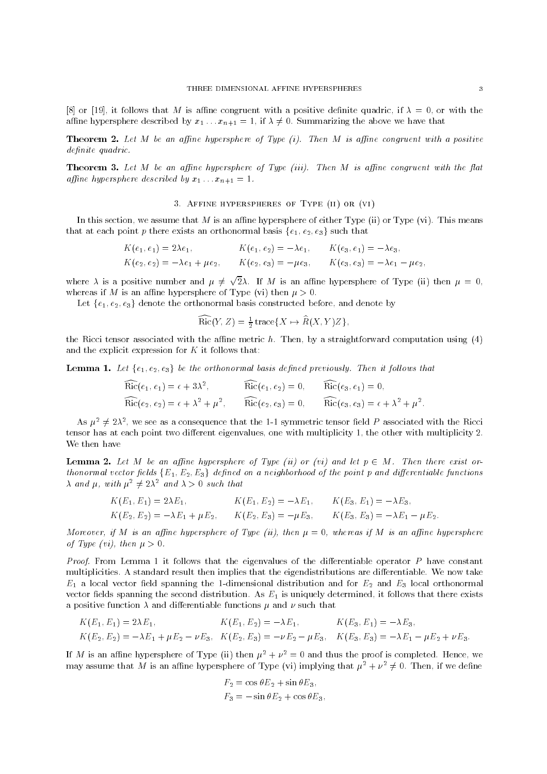[8] or [19], it follows that M is affine congruent with a positive definite quadric, if  $\lambda = 0$ , or with the affine hypersphere described by  $x_1 \ldots x_{n+1} = 1$ , if  $\lambda \neq 0$ . Summarizing the above we have that

**Theorem 2.** Let M be an affine hypersphere of Type  $(i)$ . Then M is affine congruent with a positive definite quadric.

**Theorem 3.** Let M be an affine hypersphere of Type (iii). Then M is affine congruent with the flat affine hypersphere described by  $x_1 \ldots x_{n+1} = 1$ .

### 3. Affine hyperspheres of Type (ii) or (vi)

In this section, we assume that  $M$  is an affine hypersphere of either Type (ii) or Type (vi). This means that at each point p there exists an orthonormal basis  $\{e_1, e_2, e_3\}$  such that

$$
K(e_1, e_1) = 2\lambda e_1,
$$
  
\n
$$
K(e_1, e_2) = -\lambda e_1,
$$
  
\n
$$
K(e_2, e_3) = -\lambda e_3,
$$
  
\n
$$
K(e_3, e_1) = -\lambda e_3,
$$
  
\n
$$
K(e_2, e_2) = -\lambda e_1 + \mu e_2,
$$
  
\n
$$
K(e_2, e_3) = -\mu e_3,
$$
  
\n
$$
K(e_3, e_3) = -\lambda e_1 - \mu e_2,
$$

where  $\lambda$  is a positive number and  $\mu \neq \sqrt{2}\lambda$ . If M is an affine hypersphere of Type (ii) then  $\mu = 0$ , whereas if M is an affine hypersphere of Type (vi) then  $\mu > 0$ .

Let  $\{e_1, e_2, e_3\}$  denote the orthonormal basis constructed before, and denote by

$$
\widehat{\rm Ric}(Y,Z) = \frac{1}{2} \operatorname{trace} \{ X \mapsto \widehat{R}(X,Y)Z \},
$$

the Ricci tensor associated with the affine metric  $h$ . Then, by a straightforward computation using (4) and the explicit expression for  $K$  it follows that:

**Lemma 1.** Let  $\{e_1, e_2, e_3\}$  be the orthonormal basis defined previously. Then it follows that

$$
Ric(e_1, e_1) = \epsilon + 3\lambda^2, \qquad Ric(e_1, e_2) = 0, \qquad Ric(e_3, e_1) = 0, \nRic(e_2, e_2) = \epsilon + \lambda^2 + \mu^2, \qquad Ric(e_2, e_3) = 0, \qquad Ric(e_3, e_3) = \epsilon + \lambda^2 + \mu^2.
$$

As  $\mu^2 \neq 2\lambda^2$ , we see as a consequence that the 1-1 symmetric tensor field P associated with the Ricci tensor has at each point two different eigenvalues, one with multiplicity 1, the other with multiplicity 2. We then have

**Lemma 2.** Let M be an affine hypersphere of Type (ii) or (vi) and let  $p \in M$ . Then there exist orthonormal vector fields  $\{E_1, E_2, E_3\}$  defined on a neighborhood of the point p and differentiable functions  $\lambda$  and  $\mu$ , with  $\mu^2 \neq 2\lambda^2$  and  $\lambda > 0$  such that

$$
K(E_1, E_1) = 2\lambda E_1, \qquad K(E_1, E_2) = -\lambda E_1, \qquad K(E_3, E_1) = -\lambda E_3, K(E_2, E_2) = -\lambda E_1 + \mu E_2, \qquad K(E_2, E_3) = -\mu E_3, \qquad K(E_3, E_3) = -\lambda E_1 - \mu E_2.
$$

Moreover, if M is an affine hypersphere of Type (ii), then  $\mu = 0$ , whereas if M is an affine hypersphere of Type (vi), then  $\mu > 0$ .

*Proof.* From Lemma 1 it follows that the eigenvalues of the differentiable operator  $P$  have constant multiplicities. A standard result then implies that the eigendistributions are differentiable. We now take  $E_1$  a local vector field spanning the 1-dimensional distribution and for  $E_2$  and  $E_3$  local orthonormal vector fields spanning the second distribution. As  $E_1$  is uniquely determined, it follows that there exists a positive function  $\lambda$  and differentiable functions  $\mu$  and  $\nu$  such that

$$
K(E_1, E_1) = 2\lambda E_1, \qquad K(E_1, E_2) = -\lambda E_1, \qquad K(E_3, E_1) = -\lambda E_3, K(E_2, E_2) = -\lambda E_1 + \mu E_2 - \nu E_3, \qquad K(E_2, E_3) = -\nu E_2 - \mu E_3, \qquad K(E_3, E_3) = -\lambda E_1 - \mu E_2 + \nu E_3.
$$

If M is an affine hypersphere of Type (ii) then  $\mu^2 + \nu^2 = 0$  and thus the proof is completed. Hence, we may assume that M is an affine hypersphere of Type (vi) implying that  $\mu^2 + \nu^2 \neq 0$ . Then, if we define

$$
F_2 = \cos \theta E_2 + \sin \theta E_3,
$$
  

$$
F_3 = -\sin \theta E_2 + \cos \theta E_3,
$$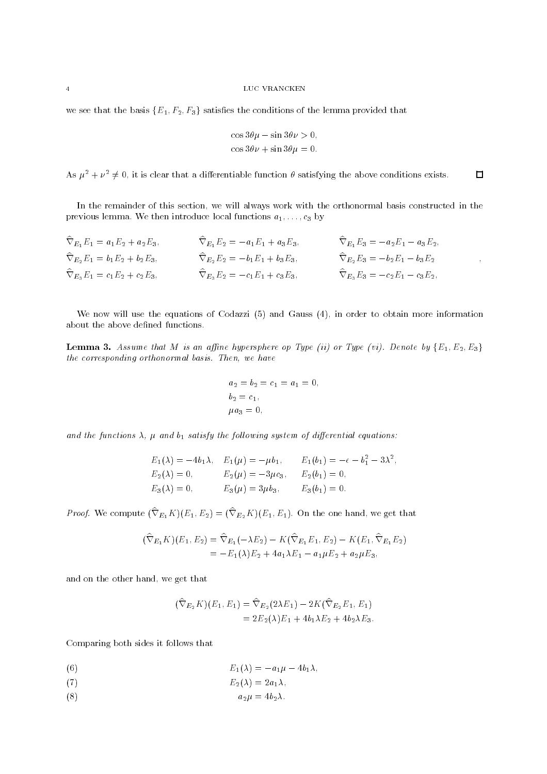we see that the basis  ${E_1, F_2, F_3}$  satisfies the conditions of the lemma provided that

$$
\cos 3\theta \mu - \sin 3\theta \nu > 0,
$$
  

$$
\cos 3\theta \nu + \sin 3\theta \mu = 0.
$$

As  $\mu^2 + \nu^2 \neq 0$ , it is clear that a differentiable function  $\theta$  satisfying the above conditions exists.  $\Box$ 

In the remainder of this section, we will always work with the orthonormal basis constructed in the previous lemma. We then introduce local functions  $a_1, \ldots, c_3$  by

| $\widehat{\nabla}_{E_1} E_1 = a_1 E_2 + a_2 E_3,$ | $\widehat{\nabla}_{E_1} E_2 = -a_1 E_1 + a_3 E_3,$ | $\nabla_{E_1} E_3 = -a_2 E_1 - a_3 E_2,$           |
|---------------------------------------------------|----------------------------------------------------|----------------------------------------------------|
| $\hat{\nabla}_{E_2}E_1 = b_1E_2 + b_2E_3,$        | $\widehat{\nabla}_{E_2} E_2 = -b_1 E_1 + b_3 E_3,$ | $\widehat{\nabla}_{E_2}E_3 = -b_2E_1 - b_3E_2$     |
| $\hat{\nabla}_{E_3} E_1 = c_1 E_2 + c_2 E_3,$     | $\widehat{\nabla}_{E_3} E_2 = -c_1 E_1 + c_3 E_3,$ | $\widehat{\nabla}_{E_3} E_3 = -c_2 E_1 - c_3 E_2,$ |

We now will use the equations of Codazzi (5) and Gauss (4), in order to obtain more information about the above defined functions.

**Lemma 3.** Assume that M is an affine hypersphere op Type (ii) or Type (vi). Denote by  $\{E_1, E_2, E_3\}$ the corresponding orthonormal basis. Then, we have

$$
a_2 = b_2 = c_1 = a_1 = 0,
$$
  
\n
$$
b_2 = c_1,
$$
  
\n
$$
\mu a_3 = 0,
$$

and the functions  $\lambda$ ,  $\mu$  and  $b_1$  satisfy the following system of differential equations:

$$
E_1(\lambda) = -4b_1\lambda, \quad E_1(\mu) = -\mu b_1, \quad E_1(b_1) = -\epsilon - b_1^2 - 3\lambda^2,
$$
  
\n
$$
E_2(\lambda) = 0, \quad E_2(\mu) = -3\mu c_3, \quad E_2(b_1) = 0,
$$
  
\n
$$
E_3(\lambda) = 0, \quad E_3(\mu) = 3\mu b_3, \quad E_3(b_1) = 0.
$$

*Proof.* We compute  $(\nabla_{E_1}K)(E_1, E_2) = (\nabla_{E_2}K)(E_1, E_1)$ . On the one hand, we get that

$$
(\widehat{\nabla}_{E_1} K)(E_1, E_2) = \widehat{\nabla}_{E_1} (-\lambda E_2) - K(\widehat{\nabla}_{E_1} E_1, E_2) - K(E_1, \widehat{\nabla}_{E_1} E_2)
$$
  
=  $-E_1(\lambda) E_2 + 4a_1 \lambda E_1 - a_1 \mu E_2 + a_2 \mu E_3$ ,

and on the other hand, we get that

$$
\begin{aligned} (\widehat{\nabla}_{E_2} K)(E_1, E_1) &= \widehat{\nabla}_{E_2} (2\lambda E_1) - 2K(\widehat{\nabla}_{E_2} E_1, E_1) \\ &= 2E_2(\lambda) E_1 + 4b_1 \lambda E_2 + 4b_2 \lambda E_3. \end{aligned}
$$

Comparing both sides it follows that

$$
(6) \t\t\t E_1(\lambda) = -a_1\mu - 4b_1\lambda,
$$

$$
E_2(\lambda) = 2a_1\lambda,
$$

$$
(8) \t\t\t a_2 \mu = 4b_2 \lambda.
$$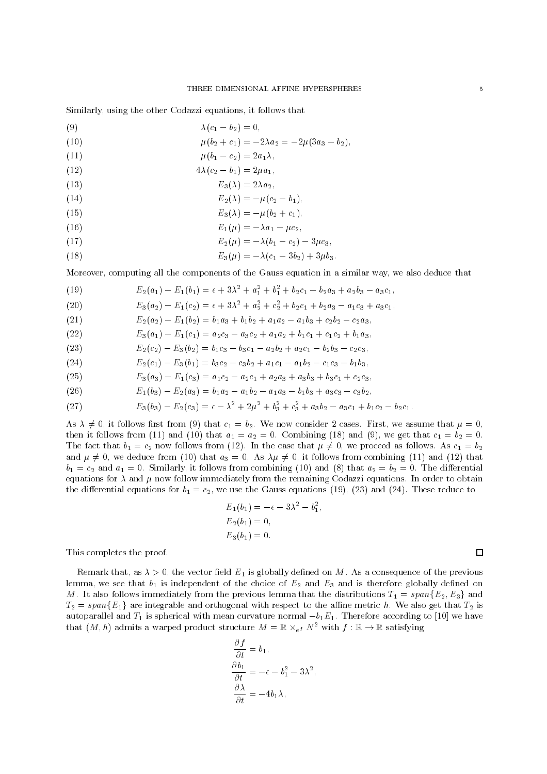Similarly, using the other Codazzi equations, it follows that

- (9)  $\lambda(c_1 b_2) = 0$ .
- (10)  $\mu(b_2 + c_1) = -2\lambda a_2 = -2\mu(3a_3 b_2).$
- (11)  $\mu(b_1 c_2) = 2a_1\lambda,$
- (12)  $4\lambda(c_2 b_1) = 2\mu a_1$
- (13)  $E_3(\lambda)=2\lambda a_2$ ;
- (14)  $E_2(\lambda) = -\mu(c_2 b_1),$
- (15)  $E_3(\lambda) = -\mu(b_2 + c_1),$
- (16)  $E_1(\mu) = -\lambda a_1 \mu c_2$ ,
- (17)  $E_2(\mu) = -\lambda (b_1 c_2) 3\mu c_3;$
- (18)  $E_3(\mu) = -\lambda(c_1 3b_2) + 3\mu b_3$

Moreover, computing all the components of the Gauss equation in a similar way, we also deduce that

- $E_2(a_1) E_1(b_1) = \epsilon + 3\lambda^2 + a_1^2 + b_1^2 + b_2c_1 b_2a_3 + a_2b_3 a_3c_1,$ (19)
- $E_3(a_2) E_1(c_2) = \epsilon + 3\lambda^2 + a_2^2 + c_2^2 + b_2c_1 + b_2a_3 a_1c_3 + a_3c_1,$ (20)
- (21)  $E_2(a_2) E_1(b_2) = b_1a_3 + b_1b_2 + a_1a_2 a_1b_3 + c_2b_2 c_2a_3$

(22) 
$$
E_3(a_1) - E_1(c_1) = a_2c_3 - a_3c_2 + a_1a_2 + b_1c_1 + c_1c_2 + b_1a_3,
$$

(23) 
$$
E_2(c_2) - E_3(b_2) = b_1c_3 - b_3c_1 - a_2b_2 + a_2c_1 - b_2b_3 - c_2c_3,
$$

(24) 
$$
E_2(c_1) - E_3(b_1) = b_3c_2 - c_3b_2 + a_1c_1 - a_1b_2 - c_1c_3 - b_1b_3,
$$

(25) 
$$
E_3(a_3) - E_1(c_3) = a_1c_2 - a_2c_1 + a_2a_3 + a_3b_3 + b_3c_1 + c_2c_3,
$$

(26) 
$$
E_1(b_3) - E_2(a_3) = b_1a_2 - a_1b_2 - a_1a_3 - b_1b_3 + a_3c_3 - c_3b_2,
$$

(27) 
$$
E_3(b_3) - E_2(c_3) = \epsilon - \lambda^2 + 2\mu^2 + b_3^2 + c_3^2 + a_3b_2 - a_3c_1 + b_1c_2 - b_2c_1.
$$

As  $\lambda \neq 0$ , it follows first from (9) that  $c_1 = b_2$ . We now consider 2 cases. First, we assume that  $\mu = 0$ , then it follows from (11) and (10) that  $a_1 = a_2 = 0$ . Combining (18) and (9), we get that  $c_1 = b_2 = 0$ . The fact that  $b_1 = c_2$  now follows from (12). In the case that  $\mu \neq 0$ , we proceed as follows. As  $c_1 = b_2$ and  $\mu \neq 0$ , we deduce from (10) that  $a_3 = 0$ . As  $\lambda \mu \neq 0$ , it follows from combining (11) and (12) that  $b_1 = c_2$  and  $a_1 = 0$ . Similarly, it follows from combining (10) and (8) that  $a_2 = b_2 = 0$ . The differential equations for  $\lambda$  and  $\mu$  now follow immediately from the remaining Codazzi equations. In order to obtain the differential equations for  $b_1 = c_2$ , we use the Gauss equations (19), (23) and (24). These reduce to

$$
E_1(b_1) = -\epsilon - 3\lambda^2 - b_1^2,
$$
  
\n
$$
E_2(b_1) = 0,
$$
  
\n
$$
E_3(b_1) = 0.
$$

This completes the proof.

Remark that, as  $\lambda > 0$ , the vector field  $E_1$  is globally defined on M. As a consequence of the previous lemma, we see that  $b_1$  is independent of the choice of  $E_2$  and  $E_3$  and is therefore globally defined on M. It also follows immediately from the previous lemma that the distributions  $T_1 = span{E_2, E_3}$  and  $T_2 = span{E_1}$  are integrable and orthogonal with respect to the affine metric h. We also get that  $T_2$  is autoparallel and  $T_1$  is spherical with mean curvature normal  $-b_1E_1$ . Therefore according to [10] we have that  $(M,h)$  admits a warped product structure  $M = \mathbb{R} \times_{e f} N^2$  with  $f : \mathbb{R} \to \mathbb{R}$  satisfying

$$
\begin{aligned}\n\frac{\partial f}{\partial t} &= b_1, \\
\frac{\partial b_1}{\partial t} &= -\epsilon - b_1^2 - 3\lambda^2, \\
\frac{\partial \lambda}{\partial t} &= -4b_1\lambda,\n\end{aligned}
$$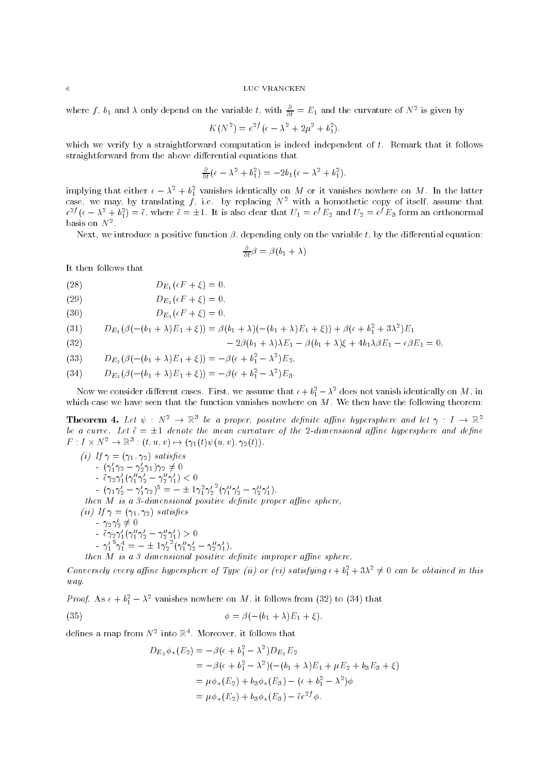where  $J$ ,  $\mathfrak{d}_1$  and  $\lambda$  only depend on the variable  $t$ , with  $\frac{1}{\partial t} = E_1$  and the curvature of  $N^*$  is given by

$$
K(N^{2}) = e^{2f}(\epsilon - \lambda^{2} + 2\mu^{2} + b_{1}^{2}).
$$

which we verify by a straightforward computation is indeed independent of  $t$ . Remark that it follows straightforward from the above differential equations that

$$
\frac{\partial}{\partial t}(\epsilon - \lambda^2 + b_1^2) = -2b_1(\epsilon - \lambda^2 + b_1^2),
$$

implying that either  $\epsilon = \lambda_{-} + v_{1}$  vanishes identically on M or it vanishes nowhere on M. In the latter case, we may, by translating  $f$ , i.e. by replacing  $N-$  with a homothetic copy of itself, assume that  $\hskip 10mm$  $e^{2J}( \epsilon - \lambda^2 + b_1^2) = \tilde{\epsilon}$ , where  $\tilde{\epsilon} = \pm 1$ . It is also clear that  $U_1 = e^J E_2$  and  $U_2 = e^J E_3$  form an orthonormal basis on *i*v

Next, we introduce a positive function  $\beta$ , depending only on the variable t, by the differential equation:

 $\frac{1}{\partial t} \rho = \rho (b_1 + \lambda)$ 

It then follows that

(28) 
$$
D_{E_1}(\epsilon F + \xi) = 0,
$$

(29) 
$$
D_{E_2}(\epsilon F + \xi) = 0,
$$

(30) 
$$
D_{E_3}(\epsilon F + \xi) = 0,
$$

(31) 
$$
D_{E_1}(\beta(-(b_1+\lambda)E_1+\xi)) = \beta(b_1+\lambda)(-(b_1+\lambda)E_1+\xi)) + \beta(\epsilon+b_1^2+3\lambda^2)E_1
$$

(32)  $-2\beta(b_1+\lambda)\lambda E_1-\beta(b_1+\lambda)\xi+4b_1\lambda\beta E_1-\epsilon\beta E_1=0,$ 

(33) 
$$
D_{E_2}(\beta(-(b_1+\lambda)E_1+\xi)) = -\beta(\epsilon+b_1^2-\lambda^2)E_2,
$$

(34) 
$$
D_{E_3}(\beta(-(b_1+\lambda)E_1+\xi)) = -\beta(\epsilon+b_1^2-\lambda^2)E_3.
$$

 $\mathcal{L}$  and  $\mathcal{L}$ 

Now we consider different cases. First, we assume that  $\epsilon + \sigma_1^- - \lambda^-$  does not vanish identically on M, in which case we have seen that the function vanishes nowhere on  $M$ . We then have the following theorem:

**Theorem 4.** Let  $\psi : N^2 \to \mathbb{R}^3$  be a proper, positive definite affine hypersphere and let  $\gamma : I \to \mathbb{R}^2$ be a curve. Let  $\tilde{\epsilon} = \pm 1$  denote the mean curvature of the 2-dimensional affine hypersphere and define  $F: I \times N^* \to \mathbb{R}^\circ : (t, u, v) \mapsto (\gamma_1(t)\psi(u, v), \gamma_2(t)).$ 

(i) If 
$$
\gamma = (\gamma_1, \gamma_2)
$$
 satisfies\n
$$
- (\gamma_1' \gamma_2 - \gamma_2' \gamma_1) \gamma_2 \neq 0
$$
\n
$$
- \tilde{\epsilon} \gamma_2 \gamma_1' (\gamma_1'' \gamma_2' - \gamma_2'' \gamma_1') < 0
$$
\n
$$
- (\gamma_1 \gamma_2' - \gamma_1' \gamma_2)^5 = - \pm 1 \gamma_1^2 \gamma_2'^2 (\gamma_1'' \gamma_2' - \gamma_2'' \gamma_1'),
$$
\nthen M is a 3-dimensional positive definite proper affine sphere,\n(ii) If  $\gamma = (\gamma_1, \gamma_2)$  satisfies\n
$$
- \gamma_2 \gamma_2' \neq 0
$$
\n
$$
- \tilde{\epsilon} \gamma_2 \gamma_1' (\gamma_1'' \gamma_2' - \gamma_2'' \gamma_1') > 0
$$
\n
$$
- \gamma_1'' \gamma_1^4 = - \pm 1 \gamma_2'^2 (\gamma_1'' \gamma_2' - \gamma_2'' \gamma_1'),
$$
\nthen M is a 3 dimensional positive definite improper affine sphere.

Conversely every affine hypersphere of Type (ii) or (vi) satisfying  $\epsilon + b_1^2 + 3\lambda^2 \neq 0$  can be obtained in this way.

*Proof.* As  $\epsilon + \theta_1 - \lambda$  vanishes nowhere on M, it follows from (52) to (54) that

$$
\phi = \beta(-(b_1 + \lambda)E_1 + \xi),
$$

defines a map from  $N^+$  into  $\mathbb{R}^+$ . Moreover, it follows that

$$
D_{E_2}\phi_{\star}(E_2) = -\beta(\epsilon + b_1^2 - \lambda^2)D_{E_2}E_2
$$
  
=  $-\beta(\epsilon + b_1^2 - \lambda^2)(-(b_1 + \lambda)E_1 + \mu E_2 + b_3 E_3 + \xi)$   
=  $\mu\phi_{\star}(E_2) + b_3\phi_{\star}(E_3) - (\epsilon + b_1^2 - \lambda^2)\phi$   
=  $\mu\phi_{\star}(E_2) + b_3\phi_{\star}(E_3) - \tilde{\epsilon}e^{2f}\phi$ .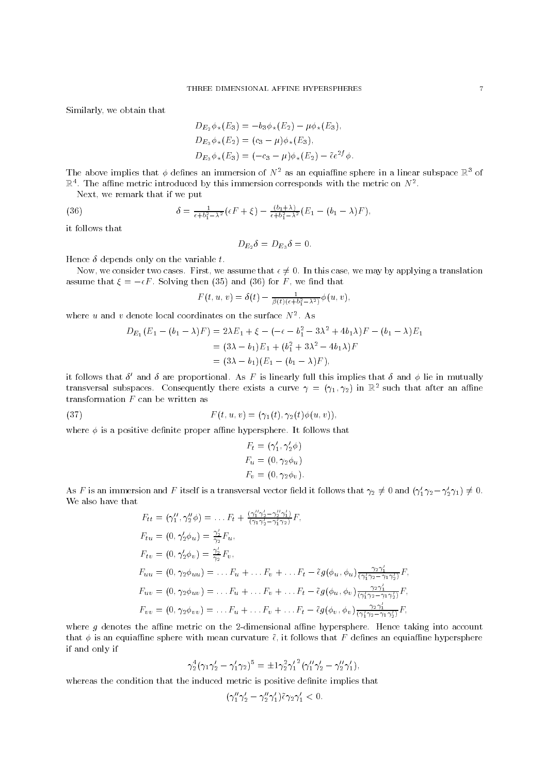Similarly, we obtain that

$$
D_{E_2}\phi_{\star}(E_3) = -b_3\phi_{\star}(E_2) - \mu\phi_{\star}(E_3),
$$
  
\n
$$
D_{E_3}\phi_{\star}(E_2) = (c_3 - \mu)\phi_{\star}(E_3),
$$
  
\n
$$
D_{E_3}\phi_{\star}(E_3) = (-c_3 - \mu)\phi_{\star}(E_2) - \tilde{\epsilon}e^{2f}\phi.
$$

The above implies that  $\phi$  defines an immersion of  $N^2$  as an equiaffine sphere in a linear subspace  $\mathbb{R}^3$  of  $\mathbb R^+$ . The annie metric introduced by this immersion corresponds with the metric on  $N^+$ .

Next, we remark that if we put

(36) 
$$
\delta = \frac{1}{\epsilon + b_1^2 - \lambda^2} \left( \epsilon F + \xi \right) - \frac{(b_1 + \lambda)}{\epsilon + b_1^2 - \lambda^2} \left( E_1 - (b_1 - \lambda) F \right),
$$

it follows that

$$
D_{E_2}\delta = D_{E_3}\delta = 0.
$$

Hence  $\delta$  depends only on the variable  $t$ .

Now, we consider two cases. First, we assume that  $\epsilon \neq 0$ . In this case, we may by applying a translation assume that  $\xi = -\epsilon F$ . Solving then (35) and (36) for F, we find that

$$
F(t, u, v) = \delta(t) - \frac{1}{\beta(t)(\epsilon + b_1^2 - \lambda^2)} \phi(u, v),
$$

where  $u$  and  $v$  denote local coordinates on the surface  $N$  . As

$$
D_{E_1}(E_1 - (b_1 - \lambda)F) = 2\lambda E_1 + \xi - (-\epsilon - b_1^2 - 3\lambda^2 + 4b_1\lambda)F - (b_1 - \lambda)E_1
$$
  
=  $(3\lambda - b_1)E_1 + (b_1^2 + 3\lambda^2 - 4b_1\lambda)F$   
=  $(3\lambda - b_1)(E_1 - (b_1 - \lambda)F)$ ,

It follows that  $\theta$  and  $\theta$  are proportional. As  $F$  is finearly full this implies that  $\theta$  and  $\phi$  lie in mutually transversal subspaces. Consequently there exists a curve  $\gamma \equiv (\gamma_1, \gamma_2)$  in  $\mathbb R$  such that after an alline transformation F can be written as

(37) 
$$
F(t, u, v) = (\gamma_1(t), \gamma_2(t)\phi(u, v)),
$$

where  $\phi$  is a positive definite proper affine hypersphere. It follows that

$$
F_t = (\gamma'_1, \gamma'_2 \phi)
$$
  
\n
$$
F_u = (0, \gamma_2 \phi_u)
$$
  
\n
$$
F_v = (0, \gamma_2 \phi_v).
$$

As F is an immersion and F itself is a transversal vector field it follows that  $\gamma_2 \neq 0$  and  $(\gamma_1' \gamma_2 - \gamma_2' \gamma_1) \neq 0$ . We also have that and a control

$$
F_{tt} = (\gamma_1'', \gamma_2'' \phi) = \dots F_t + \frac{(\gamma_1'' \gamma_2' - \gamma_2' \gamma_1')}{(\gamma_1 \gamma_2' - \gamma_1' \gamma_2)} F,
$$
  
\n
$$
F_{tu} = (0, \gamma_2' \phi_u) = \frac{\gamma_2'}{\gamma_2} F_u,
$$
  
\n
$$
F_{tu} = (0, \gamma_2' \phi_v) = \frac{\gamma_2'}{\gamma_2} F_v,
$$
  
\n
$$
F_{uu} = (0, \gamma_2 \phi_{uu}) = \dots F_u + \dots F_v + \dots F_t - \tilde{\epsilon} g(\phi_u, \phi_u) \frac{\gamma_2 \gamma_1'}{(\gamma_1' \gamma_2 - \gamma_1 \gamma_2')} F,
$$
  
\n
$$
F_{uv} = (0, \gamma_2 \phi_{uv}) = \dots F_u + \dots F_v + \dots F_t - \tilde{\epsilon} g(\phi_u, \phi_v) \frac{\gamma_2 \gamma_1'}{(\gamma_1' \gamma_2 - \gamma_1 \gamma_2')} F,
$$
  
\n
$$
F_{vv} = (0, \gamma_2 \phi_{vv}) = \dots F_u + \dots F_v + \dots F_t - \tilde{\epsilon} g(\phi_v, \phi_v) \frac{\gamma_2 \gamma_1'}{(\gamma_1' \gamma_2 - \gamma_1 \gamma_2')} F,
$$

where  $g$  denotes the affine metric on the 2-dimensional affine hypersphere. Hence taking into account that  $\phi$  is an equiaffine sphere with mean curvature  $\tilde{\epsilon}$ , it follows that F defines an equiaffine hypersphere if and only if

$$
\gamma_2^4(\gamma_1\gamma_2'-\gamma_1'\gamma_2)^5=\pm 1\gamma_2^2{\gamma_1'}^2(\gamma_1''\gamma_2'-\gamma_2''\gamma_1'),
$$

whereas the condition that the induced metric is positive definite implies that

$$
(\gamma_1''\gamma_2'-\gamma_2''\gamma_1')\tilde{\epsilon}\gamma_2\gamma_1'<0.
$$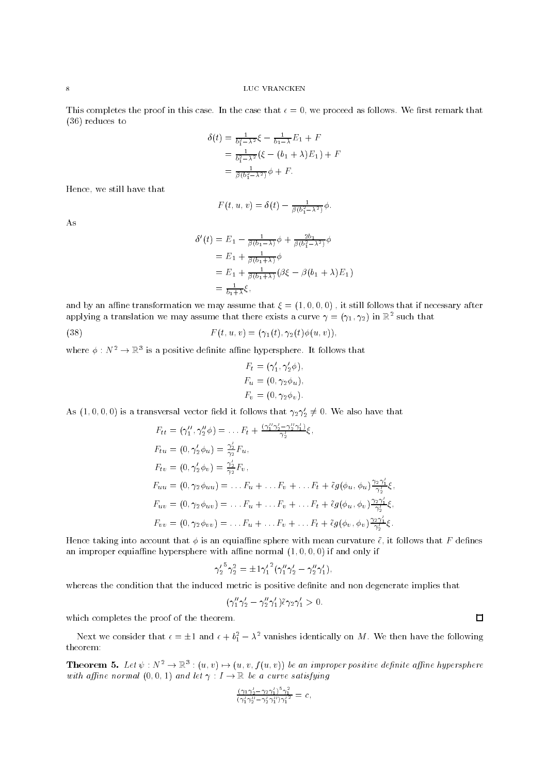This completes the proof in this case. In the case that  $\epsilon = 0$ , we proceed as follows. We first remark that (36) reduces to

$$
\delta(t) = \frac{1}{b_1^2 - \lambda^2} \xi - \frac{1}{b_1 - \lambda} E_1 + F
$$
  
=  $\frac{1}{b_1^2 - \lambda^2} (\xi - (b_1 + \lambda) E_1) + F$   
=  $\frac{1}{\beta(b_1^2 - \lambda^2)} \phi + F.$ 

Hence, we still have that

$$
F(t, u, v) = \delta(t) - \frac{1}{\beta(b_1^2 - \lambda^2)}\phi.
$$

As

$$
\delta'(t) = E_1 - \frac{1}{\beta(b_1 - \lambda)} \phi + \frac{2b_1}{\beta(b_1 - \lambda^2)} \phi
$$
  
=  $E_1 + \frac{1}{\beta(b_1 + \lambda)} \phi$   
=  $E_1 + \frac{1}{\beta(b_1 + \lambda)} (\beta \xi - \beta(b_1 + \lambda) E_1)$   
=  $\frac{1}{b_1 + \lambda} \xi$ ,

and by an affine transformation we may assume that  $\xi = (1, 0, 0, 0)$ , it still follows that if necessary after applying a translation we may assume that there exists a curve  $\gamma\equiv (\gamma_1,\gamma_2)$  in  $\mathbb{R}^+$  such that Land and

(38) 
$$
F(t, u, v) = (\gamma_1(t), \gamma_2(t)\phi(u, v)),
$$

where  $\phi: N^{\perp}\to \mathbb{R}^3$  is a positive definite affine hypersphere. It follows that

$$
F_t = (\gamma'_1, \gamma'_2 \phi),
$$
  
\n
$$
F_u = (0, \gamma_2 \phi_u),
$$
  
\n
$$
F_v = (0, \gamma_2 \phi_v).
$$

As  $(1,0,0,0)$  is a transversal vector field it follows that  $\gamma_2 \gamma_2 \neq 0$ . We also have that

$$
F_{tt} = (\gamma_1'', \gamma_2'' \phi) = \dots F_t + \frac{(\gamma_1'' \gamma_2' - \gamma_2'' \gamma_1')}{\gamma_2'} \xi,
$$
  
\n
$$
F_{tu} = (0, \gamma_2' \phi_u) = \frac{\gamma_2'}{\gamma_2} F_u,
$$
  
\n
$$
F_{tv} = (0, \gamma_2' \phi_v) = \frac{\gamma_2'}{\gamma_2} F_v,
$$
  
\n
$$
F_{uu} = (0, \gamma_2 \phi_{uu}) = \dots F_u + \dots F_v + \dots F_t + \tilde{\epsilon} g(\phi_u, \phi_u) \frac{\gamma_2 \gamma_1'}{\gamma_2'} \xi,
$$
  
\n
$$
F_{uv} = (0, \gamma_2 \phi_{uv}) = \dots F_u + \dots F_v + \dots F_t + \tilde{\epsilon} g(\phi_u, \phi_v) \frac{\gamma_2 \gamma_1'}{\gamma_2'} \xi,
$$
  
\n
$$
F_{vv} = (0, \gamma_2 \phi_{vv}) = \dots F_u + \dots F_v + \dots F_t + \tilde{\epsilon} g(\phi_v, \phi_v) \frac{\gamma_2 \gamma_1'}{\gamma_2'} \xi.
$$

Hence taking into account that  $\phi$  is an equiaffine sphere with mean curvature  $\tilde{\epsilon}$ , it follows that F defines an improper equiaffine hypersphere with affine normal  $(1, 0, 0, 0)$  if and only if

$$
{\gamma'_2}^5 \gamma_2^2 = \pm{1}{\gamma'_1}^2(\gamma''_1 \gamma'_2 - \gamma''_2 \gamma'_1)\,,
$$

whereas the condition that the induced metric is positive definite and non degenerate implies that

$$
(\gamma_1''\gamma_2'-\gamma_2''\gamma_1')\tilde{\epsilon}\gamma_2\gamma_1'>0.
$$

which completes the proof of the theorem.

Next we consider that  $\epsilon = \pm 1$  and  $\epsilon + b_1^2 - \lambda^2$  vanishes identically on M. We then have the following theorem:

**Theorem 5.** Let  $\psi: N^* \to \mathbb{R}^3$ :  $(u, v) \mapsto (u, v, f(u, v))$  be an improper positive definite affine hypersphere with affine normal  $(0,0,1)$  and let  $\gamma: I \to \mathbb{R}$  be a curve satisfying

$$
\frac{(\gamma_1\gamma_2'-\gamma_2\gamma_1')^5\gamma_1^2}{(\gamma_1'\gamma_2'-\gamma_2'\gamma_1'')\gamma_1'^2}=c\;\! ,
$$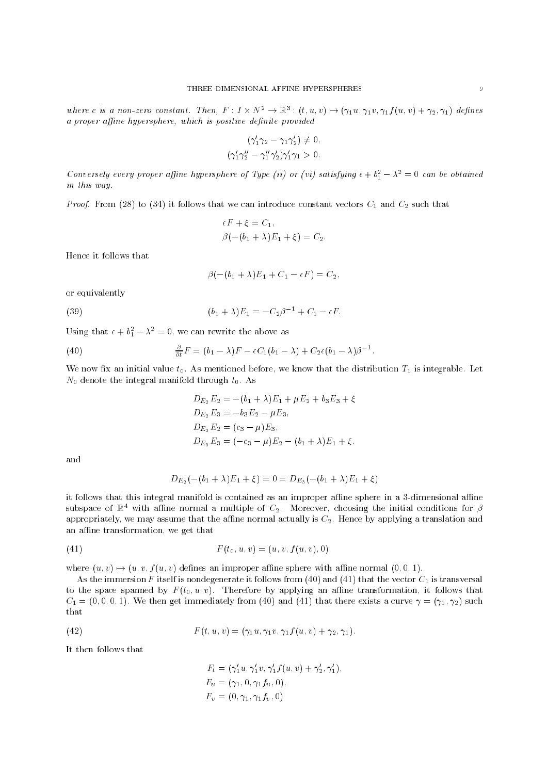where c is a non-zero constant. Then,  $F: I \times N^* \to \mathbb{R}^{\circ}$  :  $(t, u, v) \mapsto (\gamma_1 u, \gamma_1 v, \gamma_1 f(u, v) + \gamma_2, \gamma_1)$  defines a proper affine hypersphere, which is positive definite provided

$$
(\gamma'_1\gamma_2 - \gamma_1\gamma'_2) \neq 0,
$$
  

$$
(\gamma'_1\gamma''_2 - \gamma''_1\gamma'_2)\gamma'_1\gamma_1 > 0.
$$

Conversely every proper affine hypersphere of Type (ii) or (vi) satisfying  $\epsilon + \nu_1 - \lambda = 0$  can be obtained in this way.

*Proof.* From (28) to (34) it follows that we can introduce constant vectors  $C_1$  and  $C_2$  such that

$$
\epsilon F + \xi = C_1,
$$
  
\n
$$
\beta(-(b_1 + \lambda)E_1 + \xi) = C_2.
$$

Hence it follows that

$$
\beta(-(b_1+\lambda)E_1+C_1-\epsilon F)=C_2,
$$

or equivalently

(39) 
$$
(b_1 + \lambda)E_1 = -C_2\beta^{-1} + C_1 - \epsilon F.
$$

Using that  $\epsilon + \theta_1 - \lambda_2 = 0$ , we can rewrite the above as

(40) 
$$
\frac{\partial}{\partial t}F = (b_1 - \lambda)F - \epsilon C_1(b_1 - \lambda) + C_2\epsilon(b_1 - \lambda)\beta^{-1}.
$$

We now fix an initial value  $t_0$ . As mentioned before, we know that the distribution  $T_1$  is integrable. Let  $N_0$  denote the integral manifold through  $t_0$ . As

$$
D_{E_2}E_2 = -(b_1 + \lambda)E_1 + \mu E_2 + b_3 E_3 + \xi
$$
  
\n
$$
D_{E_2}E_3 = -b_3 E_2 - \mu E_3,
$$
  
\n
$$
D_{E_3}E_2 = (c_3 - \mu)E_3,
$$
  
\n
$$
D_{E_3}E_3 = (-c_3 - \mu)E_2 - (b_1 + \lambda)E_1 + \xi.
$$

and

$$
D_{E_2}(-(b_1 + \lambda)E_1 + \xi) = 0 = D_{E_3}(-(b_1 + \lambda)E_1 + \xi)
$$

it follows that this integral manifold is contained as an improper affine sphere in a 3-dimensional affine subspace of  $\mathbb{R}^4$  with affine normal a multiple of  $C_2$ . Moreover, choosing the initial conditions for  $\beta$ appropriately, we may assume that the affine normal actually is  $C_2$ . Hence by applying a translation and an affine transformation, we get that

(41) 
$$
F(t_0, u, v) = (u, v, f(u, v), 0),
$$

where  $(u, v) \rightarrow (u, v, f(u, v))$  defines an improper affine sphere with affine normal  $(0, 0, 1)$ .

As the immersion F itself is nondegenerate it follows from (40) and (41) that the vector  $C_1$  is transversal to the space spanned by  $F(t_0, u, v)$ . Therefore by applying an affine transformation, it follows that  $C_1 = (0,0,0,1)$ . We then get immediately from (40) and (41) that there exists a curve  $\gamma = (\gamma_1, \gamma_2)$  such that

(42) 
$$
F(t, u, v) = (\gamma_1 u, \gamma_1 v, \gamma_1 f(u, v) + \gamma_2, \gamma_1).
$$

It then follows that

$$
F_t = (\gamma'_1 u, \gamma'_1 v, \gamma'_1 f(u, v) + \gamma'_2, \gamma'_1),
$$
  
\n
$$
F_u = (\gamma_1, 0, \gamma_1 f_u, 0),
$$
  
\n
$$
F_v = (0, \gamma_1, \gamma_1 f_v, 0)
$$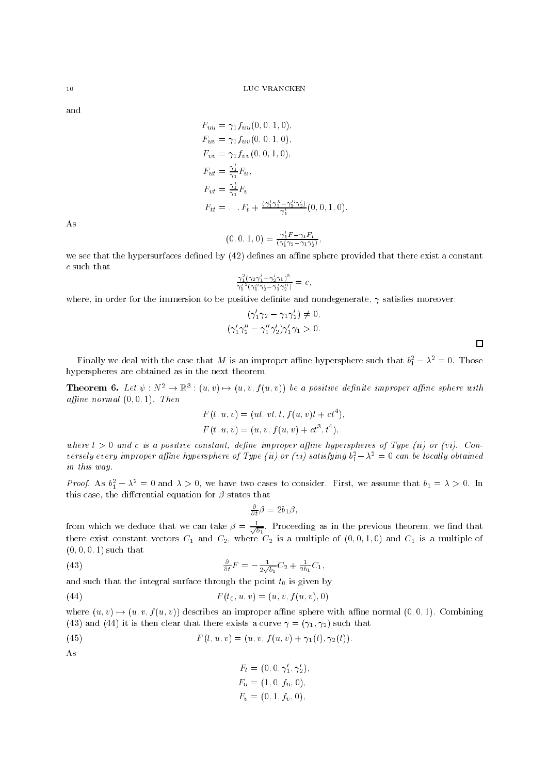and

 $F_{uu} = \gamma_1 f_{uu}(0,0,1,0),$  $F_{uv} = \gamma_1 f_{uv}(0, 0, 1, 0),$  $F_{vv} = \gamma_1 f_{vv}(0, 0, 1, 0),$  $F_{ut} = \frac{\gamma_1}{\gamma_1} F_u$ ,  $F_{vt} = \frac{\gamma_1}{\gamma_2} F_v$  $\gamma_1$   $\sim$  ;  $F_{tt} = \ldots F_t + \frac{(\gamma_1 \gamma_2 - \gamma_1 \gamma_2)}{\gamma_1'}(0, 0, 1, 0).$ 

As

$$
(0,0,1,0)=\frac{\gamma'_1 F-\gamma_1 F_t}{(\gamma'_1 \gamma_2-\gamma_1 \gamma'_2)},
$$

we see that the hypersurfaces defined by  $(42)$  defines an affine sphere provided that there exist a constant c such that

$$
\frac{\gamma_1^2(\gamma_2\gamma_1'-\gamma_2'\gamma_1)^5}{\gamma_1^{\prime\,2}(\gamma_1^{\prime\prime}\gamma_2'-\gamma_1'\gamma_2^{\prime\prime})}=c\,,
$$

where, in order for the immersion to be positive definite and nondegenerate,  $\gamma$  satisfies moreover:

$$
(\gamma'_1 \gamma_2 - \gamma_1 \gamma'_2) \neq 0,
$$
  

$$
(\gamma'_1 \gamma''_2 - \gamma''_1 \gamma'_2) \gamma'_1 \gamma_1 > 0.
$$

 $\Box$ 

rinally we deal with the case that M is an improper anime hypersphere such that  $v_1 - x_1 = 0$ . Those hyperspheres are obtained as in the next theorem:

**Theorem 6.** Let  $\psi: N^* \to \mathbb{R}^3$ :  $(u, v) \mapsto (u, v, f(u, v))$  be a positive definite improper affine sphere with affine normal  $(0, 0, 1)$ . Then

$$
F(t, u, v) = (ut, vt, t, f(u, v)t + ct4),
$$
  

$$
F(t, u, v) = (u, v, f(u, v) + ct3, t4),
$$

where  $t > 0$  and c is a positive constant, define improper affine hyperspheres of Type (ii) or (vi). Conversely every improper affine hypersphere of Type (ii) or (vi) satisfying  $v_1 - x_1 = 0$  can be locally obtained in this way.

*Proof.* As  $v_1 - \lambda = 0$  and  $\lambda > 0$ , we have two cases to consider. First, we assume that  $v_1 = \lambda > 0$ . In this case, the differential equation for  $\beta$  states that

$$
\frac{\partial}{\partial t}\beta = 2b_1\beta,
$$

from which we deduce that we can take  $\rho = \frac{1}{\sqrt{b_1}}$ . Proceeding as in the previous theorem, we find that there exist constant vectors C1 and C2, where C2 is a multiple of (0; 0; 1; 0) and C1 is a multiple of  $(0, 0, 0, 1)$  such that

(43) 
$$
\frac{\partial}{\partial t}F = -\frac{1}{2\sqrt{b_1}}C_2 + \frac{1}{2b_1}C_1,
$$

and such that the integral surface through the point  $t_0$  is given by

(44) 
$$
F(t_0, u, v) = (u, v, f(u, v), 0),
$$

where  $(u, v) \rightarrow (u, v, f(u, v))$  describes an improper affine sphere with affine normal  $(0, 0, 1)$ . Combining (43) and (44) it is then clear that there exists a curve  $\gamma = (\gamma_1, \gamma_2)$  such that

(45) 
$$
F(t, u, v) = (u, v, f(u, v) + \gamma_1(t), \gamma_2(t)).
$$

As

$$
F_t = (0, 0, \gamma'_1, \gamma'_2),
$$
  
\n
$$
F_u = (1, 0, f_u, 0),
$$
  
\n
$$
F_v = (0, 1, f_v, 0),
$$

 $10$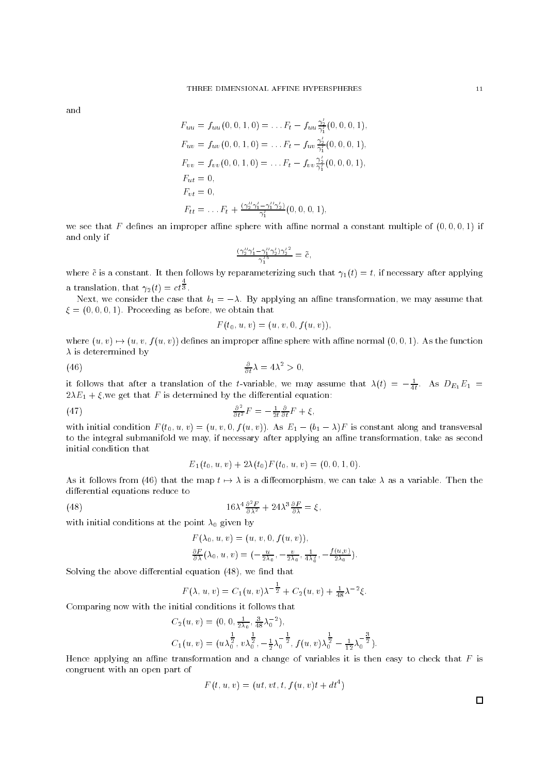and

$$
F_{uu} = f_{uu}(0, 0, 1, 0) = \dots F_t - f_{uu} \frac{\gamma_2'}{\gamma_1'}(0, 0, 0, 1),
$$
  
\n
$$
F_{uv} = f_{uv}(0, 0, 1, 0) = \dots F_t - f_{uv} \frac{\gamma_2'}{\gamma_1'}(0, 0, 0, 1),
$$
  
\n
$$
F_{vv} = f_{vv}(0, 0, 1, 0) = \dots F_t - f_{vv} \frac{\gamma_2'}{\gamma_1'}(0, 0, 0, 1),
$$
  
\n
$$
F_{ut} = 0,
$$
  
\n
$$
F_{vt} = 0,
$$
  
\n
$$
F_{tt} = \dots F_t + \frac{(\gamma_2'' \gamma_1' - \gamma_1'' \gamma_2')}{\gamma_1'}(0, 0, 0, 1),
$$

we see that F defines an improper affine sphere with affine normal a constant multiple of  $(0,0,0,1)$  if and only if

$$
\tfrac{(\gamma_2''\gamma_1'-\gamma_1''\gamma_2'){\gamma_2'}^2}{\gamma_1'^5}=\tilde{c}\,,
$$

where  $\tilde{c}$  is a constant. It then follows by reparameterizing such that  $\gamma_1(t) = t$ , if necessary after applying  $\overline{3}$ 

Next, we consider the case that  $b_1 = -\lambda$ . By applying an affine transformation, we may assume that  $\xi = (0, 0, 0, 1)$ . Proceeding as before, we obtain that

$$
F(t_0, u, v) = (u, v, 0, f(u, v)),
$$

where  $(u, v) \mapsto (u, v, f(u, v))$  defines an improper affine sphere with affine normal  $(0, 0, 1)$ . As the function  $\lambda$  is deterermined by

(46) 
$$
\frac{\partial}{\partial t}\lambda = 4\lambda^2 > 0,
$$

a translation of  $\mathcal{L}(\mathcal{L})$ 

It follows that after a translation of the t-variable, we may assume that  $\lambda(t) \, = \, -\frac{1}{4t}$ . As  $DE_1E_1 =$  $2\lambda E_1 + \xi$ , we get that F is determined by the differential equation:

(47) 
$$
\frac{\partial^2}{\partial t^2}F = -\frac{1}{2t}\frac{\partial}{\partial t}F + \xi,
$$

with initial condition  $F(t_0, u, v)=(u, v, 0, f(u, v))$ . As  $E_1 - (b_1 - \lambda)F$  is constant along and transversal to the integral submanifold we may, if necessary after applying an affine transformation, take as second initial condition that

$$
E_1(t_0, u, v) + 2\lambda(t_0) F(t_0, u, v) = (0, 0, 1, 0).
$$

As it follows from (46) that the map  $t \mapsto \lambda$  is a diffeomorphism, we can take  $\lambda$  as a variable. Then the differential equations reduce to

(48) 
$$
16\lambda^4 \frac{\partial^2 F}{\partial \lambda^2} + 24\lambda^3 \frac{\partial F}{\partial \lambda} = \xi,
$$

with initial conditions at the point  $\lambda_0$  given by

$$
F(\lambda_0, u, v) = (u, v, 0, f(u, v)),
$$
  
\n
$$
\frac{\partial F}{\partial \lambda}(\lambda_0, u, v) = (-\frac{u}{2\lambda_0}, -\frac{v}{2\lambda_0}, \frac{1}{4\lambda_0^2}, -\frac{f(u, v)}{2\lambda_0}).
$$

Solving the above differential equation  $(48)$ , we find that

$$
F(\lambda, u, v) = C_1(u, v)\lambda^{-\frac{1}{2}} + C_2(u, v) + \frac{1}{48}\lambda^{-2}\xi.
$$

Comparing now with the initial conditions it follows that

$$
C_2(u, v) = (0, 0, \frac{1}{2\lambda_0}, \frac{3}{48}\lambda_0^{-2}),
$$
  
\n
$$
C_1(u, v) = (u\lambda_0^{\frac{1}{2}}, v\lambda_0^{\frac{1}{2}}, -\frac{1}{2}\lambda_0^{-\frac{1}{2}}, f(u, v)\lambda_0^{\frac{1}{2}} - \frac{1}{12}\lambda_0^{-\frac{3}{2}}).
$$

Hence applying an affine transformation and a change of variables it is then easy to check that  $F$  is congruent with an open part of

$$
F(t, u, v) = (ut, vt, t, f(u, v)t + dt^4)
$$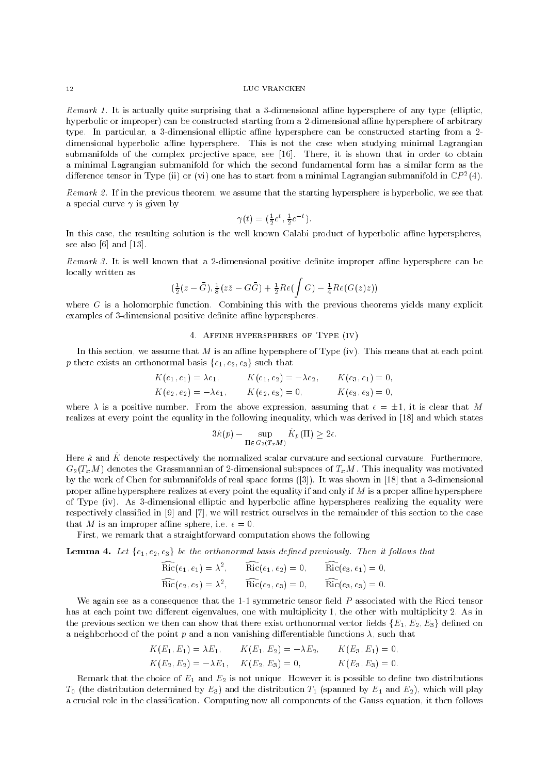Remark 1. It is actually quite surprising that a 3-dimensional affine hypersphere of any type (elliptic, hyperbolic or improper) can be constructed starting from a 2-dimensional affine hypersphere of arbitrary type. In particular, a 3-dimensional elliptic affine hypersphere can be constructed starting from a 2dimensional hyperbolic affine hypersphere. This is not the case when studying minimal Lagrangian submanifolds of the complex projective space, see [16]. There, it is shown that in order to obtain a minimal Lagrangian submanifold for which the second fundamental form has a similar form as the difference tensor in Type (ii) or (vi) one has to start from a minimal Lagrangian submanifold in  $\mathbb{C} P$  =(4).

Remark 2. If in the previous theorem, we assume that the starting hypersphere is hyperbolic, we see that a special curve  $\gamma$  is given by

$$
\gamma(t) = \left(\frac{1}{2}e^t, \frac{1}{2}e^{-t}\right).
$$

In this case, the resulting solution is the well known Calabi product of hyperbolic affine hyperspheres, see also [6] and [13].

Remark 3. It is well known that a 2-dimensional positive definite improper affine hypersphere can be locally written as

$$
\left(\frac{1}{2}(z-\bar{G}), \frac{1}{8}(z\bar{z} - G\bar{G}) + \frac{1}{2}Re\left(\int G\right) - \frac{1}{4}Re(G(z)z)\right)
$$

where  $G$  is a holomorphic function. Combining this with the previous theorems yields many explicit examples of 3-dimensional positive definite affine hyperspheres.

### 4. Affine hyperspheres of Type (iv)

In this section, we assume that M is an affine hypersphere of Type (iv). This means that at each point p there exists an orthonormal basis  $\{e_1, e_2, e_3\}$  such that

$$
K(e_1, e_1) = \lambda e_1,
$$
  $K(e_1, e_2) = -\lambda e_2,$   $K(e_3, e_1) = 0,$   
\n $K(e_2, e_2) = -\lambda e_1,$   $K(e_2, e_3) = 0,$   $K(e_3, e_3) = 0,$ 

where  $\lambda$  is a positive number. From the above expression, assuming that  $\epsilon = \pm 1$ , it is clear that M realizes at every point the equality in the following inequality, which was derived in [18] and which states

$$
3\hat{\kappa}(p) - \sup_{\Pi \in G_2(T_x M)} \hat{K}_p(\Pi) \ge 2\epsilon.
$$

Here  $\hat{\kappa}$  and  $\hat{K}$  denote respectively the normalized scalar curvature and sectional curvature. Furthermore,  $G_2(T_xM)$  denotes the Grassmannian of 2-dimensional subspaces of  $T_xM$ . This inequality was motivated by the work of Chen for submanifolds of real space forms ([3]). It was shown in [18] that a 3-dimensional proper affine hypersphere realizes at every point the equality if and only if  $M$  is a proper affine hypersphere of Type (iv). As 3-dimensional elliptic and hyperbolic affine hyperspheres realizing the equality were respectively classied in [9] and [7], we will restrict ourselves in the remainder of this section to the case that M is an improper affine sphere, i.e.  $\epsilon = 0$ .

First, we remark that a straightforward computation shows the following

**Lemma 4.** Let  $\{e_1, e_2, e_3\}$  be the orthonormal basis defined previously. Then it follows that

$$
\widehat{\rm Ric}(e_1, e_1) = \lambda^2, \qquad \widehat{\rm Ric}(e_1, e_2) = 0, \qquad \widehat{\rm Ric}(e_3, e_1) = 0,
$$
  
\n
$$
\widehat{\rm Ric}(e_2, e_2) = \lambda^2, \qquad \widehat{\rm Ric}(e_2, e_3) = 0, \qquad \widehat{\rm Ric}(e_3, e_3) = 0.
$$

We again see as a consequence that the  $1-1$  symmetric tensor field  $P$  associated with the Ricci tensor has at each point two different eigenvalues, one with multiplicity 1, the other with multiplicity 2. As in the previous section we then can show that there exist orthonormal vector fields  $\{E_1, E_2, E_3\}$  defined on a neighborhood of the point  $p$  and a non vanishing differentiable functions  $\lambda$ , such that

$$
K(E_1, E_1) = \lambda E_1, \qquad K(E_1, E_2) = -\lambda E_2, \qquad K(E_3, E_1) = 0,
$$
  

$$
K(E_2, E_2) = -\lambda E_1, \qquad K(E_2, E_3) = 0, \qquad K(E_3, E_3) = 0.
$$

Remark that the choice of  $E_1$  and  $E_2$  is not unique. However it is possible to define two distributions  $T_0$  (the distribution determined by  $E_3$ ) and the distribution  $T_1$  (spanned by  $E_1$  and  $E_2$ ), which will play a crucial role in the classication. Computing now all components of the Gauss equation, it then follows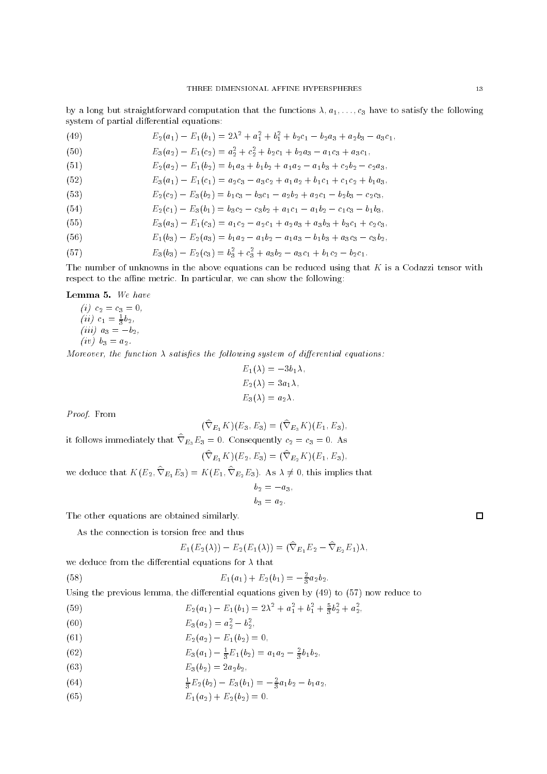by a long but straightforward computation that the functions  $\lambda, a_1, \ldots, c_3$  have to satisfy the following system of partial differential equations:

| (49) | $E_2(a_1) - E_1(b_1) = 2\lambda^2 + a_1^2 + b_1^2 + b_2c_1 - b_2a_3 + a_2b_3 - a_3c_1,$ |
|------|-----------------------------------------------------------------------------------------|
| (50) | $E_3(a_2) - E_1(c_2) = a_2^2 + c_2^2 + b_2c_1 + b_2a_3 - a_1c_3 + a_3c_1,$              |
| (51) | $E_2(a_2) - E_1(b_2) = b_1a_3 + b_1b_2 + a_1a_2 - a_1b_3 + c_2b_2 - c_2a_3,$            |
| (52) | $E_3(a_1) - E_1(c_1) = a_2c_3 - a_3c_2 + a_1a_2 + b_1c_1 + c_1c_2 + b_1a_3,$            |
| (53) | $E_2(c_2) - E_3(b_2) = b_1c_3 - b_3c_1 - a_2b_2 + a_2c_1 - b_2b_3 - c_2c_3,$            |
| (54) | $E_2(c_1) - E_3(b_1) = b_3c_2 - c_3b_2 + a_1c_1 - a_1b_2 - c_1c_3 - b_1b_3,$            |
| (55) | $E_3(a_3) - E_1(c_3) = a_1c_2 - a_2c_1 + a_2a_3 + a_3b_3 + b_3c_1 + c_2c_3,$            |
| (56) | $E_1(b_3) - E_2(a_3) = b_1a_2 - a_1b_2 - a_1a_3 - b_1b_3 + a_3c_3 - c_3b_2,$            |
| (57) | $E_3(b_3) - E_2(c_3) = b_3^2 + c_3^2 + a_3b_2 - a_3c_1 + b_1c_2 - b_2c_1.$              |

The number of unknowns in the above equations can be reduced using that  $K$  is a Codazzi tensor with respect to the affine metric. In particular, we can show the following:

Lemma 5. We have

(i) 
$$
c_2 = c_3 = 0
$$
,  
\n(ii)  $c_1 = \frac{1}{3}b_2$ ,  
\n(iii)  $a_3 = -b_2$ ,  
\n(iv)  $b_3 = a_2$ .

Moreover, the function  $\lambda$  satisfies the following system of differential equations:

$$
E_1(\lambda) = -3b_1\lambda,
$$
  
\n
$$
E_2(\lambda) = 3a_1\lambda,
$$
  
\n
$$
E_3(\lambda) = a_2\lambda.
$$

Proof. From

$$
(\widehat{\nabla}_{E_1} K)(E_3, E_3) = (\widehat{\nabla}_{E_3} K)(E_1, E_3),
$$

it follows immediately that  $\nabla_{E_3}E_3=0$ . Consequently  $c_2=c_3=0$ . As

$$
(\nabla_{E_1} K)(E_2, E_3) = (\nabla_{E_2} K)(E_1, E_3),
$$

we deduce that  $K(E_2, \nabla_{E_1}E_3) = K(E_1, \nabla_{E_2}E_3)$ . As  $\lambda \neq 0$ , this implies that

$$
b_2 = -a_3,
$$
  

$$
b_3 = a_2.
$$

The other equations are obtained similarly.

As the connection is torsion free and thus

$$
E_1(E_2(\lambda)) - E_2(E_1(\lambda)) = (\widehat{\nabla}_{E_1} E_2 - \widehat{\nabla}_{E_2} E_1) \lambda,
$$

we deduce from the differential equations for  $\lambda$  that

(58) 
$$
E_1(a_1) + E_2(b_1) = -\frac{2}{3}a_2b_2.
$$

Using the previous lemma, the differential equations given by  $(49)$  to  $(57)$  now reduce to

(59) 
$$
E_2(a_1) - E_1(b_1) = 2\lambda^2 + a_1^2 + b_1^2 + \frac{5}{3}b_2^2 + a_2^2,
$$

(60) 
$$
E_3(a_2) = a_2^2 - b_2^2,
$$

(61) 
$$
E_2(a_2) - E_1(b_2) = 0,
$$

(62) 
$$
E_3(a_1) - \frac{1}{3}E_1(b_2) = a_1a_2 - \frac{2}{3}b_1b_2,
$$

(63) 
$$
E_3(b_2) = 2a_2b_2,
$$

(64) 
$$
\frac{1}{3}E_2(b_2) - E_3(b_1) = -\frac{2}{3}a_1b_2 - b_1a_2,
$$

(65)  $E_1(a_2) + E_2(b_2) = 0.$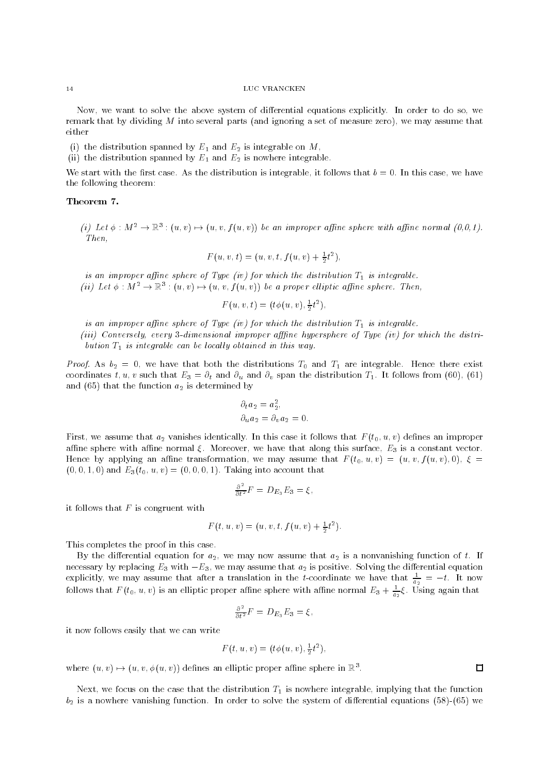Now, we want to solve the above system of differential equations explicitly. In order to do so, we remark that by dividing M into several parts (and ignoring a set of measure zero), we may assume that either

- (i) the distribution spanned by  $E_1$  and  $E_2$  is integrable on M,
- (ii) the distribution spanned by  $E_1$  and  $E_2$  is nowhere integrable.

We start with the first case. As the distribution is integrable, it follows that  $b = 0$ . In this case, we have the following theorem:

# Theorem 7.

(i) Let  $\phi : M^* \to \mathbb{R}^3$ :  $(u, v) \mapsto (u, v, f(u, v))$  be an improper affine sphere with affine normal  $(0,0,1)$ . Then  $\sim$   $\sim$   $\sim$   $\sim$   $\sim$   $\sim$ 

$$
F(u, v, t) = (u, v, t, f(u, v) + \frac{1}{2}t^2),
$$

is an improper affine sphere of Type (iv) for which the distribution  $T_1$  is integrable. (ii) Let  $\phi : M^2 \to \mathbb{R}^3 : (u, v) \mapsto (u, v, f(u, v))$  be a proper elliptic affine sphere. Then,

$$
F(u, v, t) = (t\phi(u, v), \frac{1}{2}t^2),
$$

is an improper affine sphere of Type (iv) for which the distribution  $T_1$  is integrable.

(iii) Conversely, every 3-dimensional improper afffine hypersphere of Type (iv) for which the distribution  $T_1$  is integrable can be locally obtained in this way.

*Proof.* As  $b_2 = 0$ , we have that both the distributions  $T_0$  and  $T_1$  are integrable. Hence there exist coordinates t, u, v such that  $E_3 = \partial_t$  and  $\partial_u$  and  $\partial_v$  span the distribution  $T_1$ . It follows from (60), (61) and (65) that the function  $a_2$  is determined by

$$
\partial_t a_2 = a_2^2,
$$
  

$$
\partial_u a_2 = \partial_v a_2 = 0.
$$

First, we assume that  $a_2$  vanishes identically. In this case it follows that  $F(t_0, u, v)$  defines an improper affine sphere with affine normal  $\xi$ . Moreover, we have that along this surface,  $E_3$  is a constant vector. Hence by applying an affine transformation, we may assume that  $F(t_0, u, v)=(u, v, f(u, v), 0), \xi=$  $(0, 0, 1, 0)$  and  $E_3(t_0, u, v) = (0, 0, 0, 1)$ . Taking into account that

$$
\frac{\partial^2}{\partial t^2}F = D_{E_3}E_3 = \xi,
$$

it follows that  $F$  is congruent with

$$
F(t, u, v) = (u, v, t, f(u, v) + \frac{1}{2}t^2).
$$

This completes the proof in this case.

By the differential equation for  $a_2$ , we may now assume that  $a_2$  is a nonvanishing function of t. If necessary by replacing  $E_3$  with  $-E_3$ , we may assume that  $a_2$  is positive. Solving the differential equation explicitly, we may assume that after a translation in the t-coordinate we have that  $\frac{1}{a_2} = -t$ . It now follows that  $F(t_0, u, v)$  is an elliptic proper affine sphere with affine normal  $E_3 + \frac{1}{a_2} \xi$ . Using again that

$$
\frac{\partial^2}{\partial t^2}F = D_{E_3}E_3 = \xi,
$$

it now follows easily that we can write

$$
F(t, u, v) = (t\phi(u, v), \frac{1}{2}t^2),
$$

where  $(u, v) \mapsto (u, v, \phi(u, v))$  defines an elliptic proper affine sphere in  $\mathbb{R}^3$ .

Next, we focus on the case that the distribution  $T_1$  is nowhere integrable, implying that the function  $b_2$  is a nowhere vanishing function. In order to solve the system of differential equations (58)-(65) we

 $14$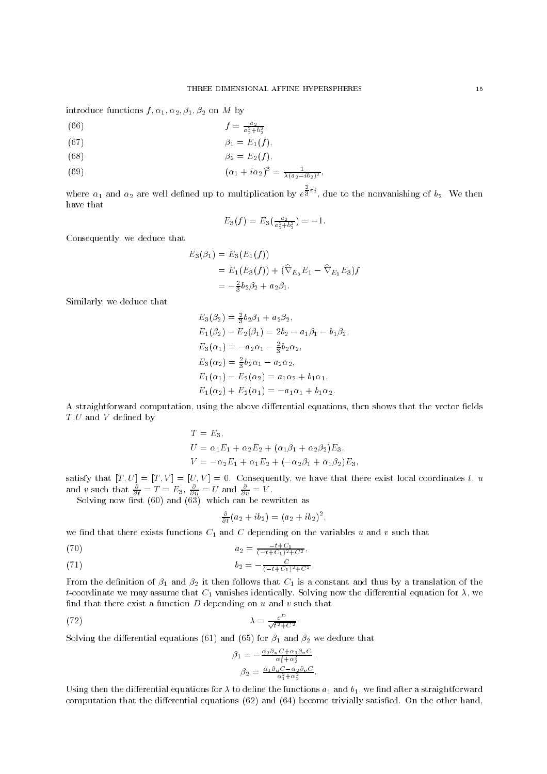introduce functions  $f, \alpha_1, \alpha_2, \beta_1, \beta_2$  on M by

- (00)  $J = \frac{a_2^2 + b_2^2}{a_2^2 + b_2^2}$ ,
- (67)  $\beta_1 = E_1(f)$ ,
- (68)  $\beta_2 = E_2(f)$ ,

(69) 
$$
(\alpha_1 + i \alpha_2)^3 = \frac{1}{\lambda (a_2 - ib_2)^2},
$$

where 1 and 2 are well defined up to multiplication by example up to multiplication by example up to multiplication by example with the second up to multiplication by example with the second up to multiplication by example  $\bar{3}^{\pi i}$ , due to the nonvanishing of  $b_2$ . We then have that

$$
E_3(f) = E_3(\frac{a_2}{a_2^2 + b_2^2}) = -1.
$$

Consequently, we deduce that

$$
E_3(\beta_1) = E_3(E_1(f))
$$
  
=  $E_1(E_3(f)) + (\hat{\nabla}_{E_3} E_1 - \hat{\nabla}_{E_1} E_3) f$   
=  $-\frac{2}{3} b_2 \beta_2 + a_2 \beta_1.$ 

Similarly, we deduce that

$$
E_3(\beta_2) = \frac{2}{3}b_2\beta_1 + a_2\beta_2,
$$
  
\n
$$
E_1(\beta_2) - E_2(\beta_1) = 2b_2 - a_1\beta_1 - b_1\beta_2,
$$
  
\n
$$
E_3(\alpha_1) = -a_2\alpha_1 - \frac{2}{3}b_2\alpha_2,
$$
  
\n
$$
E_3(\alpha_2) = \frac{2}{3}b_2\alpha_1 - a_2\alpha_2,
$$
  
\n
$$
E_1(\alpha_1) - E_2(\alpha_2) = a_1\alpha_2 + b_1\alpha_1,
$$
  
\n
$$
E_1(\alpha_2) + E_2(\alpha_1) = -a_1\alpha_1 + b_1\alpha_2.
$$

A straightforward computation, using the above differential equations, then shows that the vector fields  $T,U$  and  $V$  defined by

$$
T = E_3,
$$
  
\n
$$
U = \alpha_1 E_1 + \alpha_2 E_2 + (\alpha_1 \beta_1 + \alpha_2 \beta_2) E_3,
$$
  
\n
$$
V = -\alpha_2 E_1 + \alpha_1 E_2 + (-\alpha_2 \beta_1 + \alpha_1 \beta_2) E_3.
$$

satisfy that  $\Gamma$  is that  $\Gamma$  is the exist local coordinates that there exist local coordinates that the exist local coordinates to understand the exist local coordinates transformation of the exist local coordinates tran and v such that  $\frac{1}{\partial t} = I = E_3$ ,  $\frac{1}{\partial u} = U$  and  $\frac{1}{\partial v} = V$ .

Solving now rst (60) and (63), which can be rewritten as

$$
\frac{\partial}{\partial t}(a_2+ib_2)=(a_2+ib_2)^2,
$$

we find that there exists functions  $C_1$  and  $C$  depending on the variables  $u$  and  $v$  such that

(70) 
$$
a_2 = \frac{-t + C_1}{(-t + C_1)^2 + C^2},
$$

(71) 
$$
b_2 = -\frac{C}{(-t+C_1)^2 + C^2}.
$$

From the definition of  $\beta_1$  and  $\beta_2$  it then follows that  $C_1$  is a constant and thus by a translation of the t-coordinate we may assume that  $C_1$  vanishes identically. Solving now the differential equation for  $\lambda$ , we find that there exist a function  $D$  depending on  $u$  and  $v$  such that

(72) 
$$
\lambda = \frac{e^D}{\sqrt{t^2 + C^2}}.
$$

Solving the differential equations (61) and (65) for  $\beta_1$  and  $\beta_2$  we deduce that

$$
\beta_1 = -\frac{\alpha_2 \partial_u C + \alpha_1 \partial_v C}{\alpha_1^2 + \alpha_2^2},
$$
  

$$
\beta_2 = \frac{\alpha_1 \partial_u C - \alpha_2 \partial_v C}{\alpha_1^2 + \alpha_2^2}.
$$

Using then the differential equations for  $\lambda$  to define the functions  $a_1$  and  $b_1$ , we find after a straightforward computation that the differential equations  $(62)$  and  $(64)$  become trivially satisfied. On the other hand,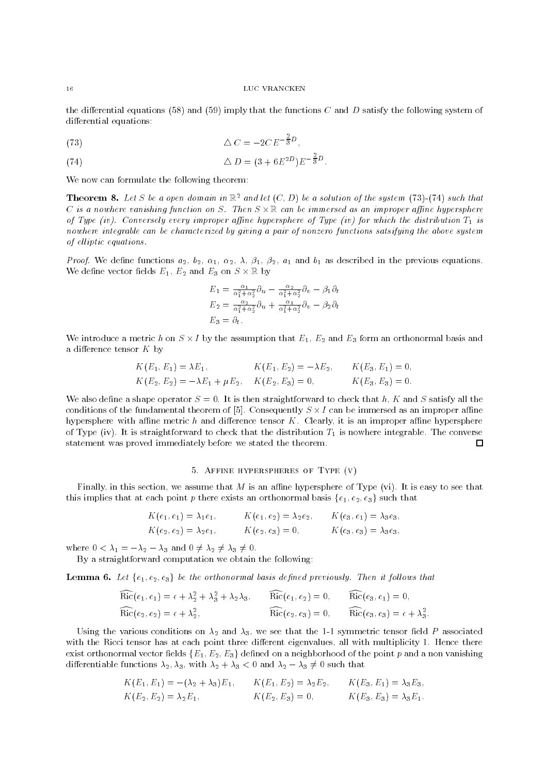the differential equations (58) and (59) imply that the functions C and D satisfy the following system of differential equations:

$$
\Delta C = -2CE^{-\frac{2}{3}D},
$$

(74) 
$$
\Delta D = (3 + 6E^{2D})E^{-\frac{2}{3}D}.
$$

We now can formulate the following theorem:

**Theorem 8.** Let S be a open domain in  $\mathbb{R}^2$  and let  $(C, D)$  be a solution of the system (73)-(74) such that U is a nowhere vanishing function on S. Then S  $\times$  M can be immersed as an improper affine hypersphere  $\,$ of Type (iv). Conversely every improper affine hypersphere of Type (iv) for which the distribution  $T_1$  is nowhere integrable can be characterized by giving a pair of nonzero functions satsifying the above system of elliptic equations.

*Proof.* We define functions  $a_2$ ,  $b_2$ ,  $\alpha_1$ ,  $\alpha_2$ ,  $\lambda$ ,  $\beta_1$ ,  $\beta_2$ ,  $a_1$  and  $b_1$  as described in the previous equations. We define vector fields  $E_1, E_2$  and  $E_3$  on  $S \times \mathbb{R}$  by

$$
E_1 = \frac{\alpha_1}{\alpha_1^2 + \alpha_2^2} \partial_u - \frac{\alpha_2}{\alpha_1^2 + \alpha_2^2} \partial_v - \beta_1 \partial_t
$$
  
\n
$$
E_2 = \frac{\alpha_2}{\alpha_1^2 + \alpha_2^2} \partial_u + \frac{\alpha_1}{\alpha_1^2 + \alpha_2^2} \partial_v - \beta_2 \partial_t
$$
  
\n
$$
E_3 = \partial_t.
$$

We introduce a metric h on  $S \times I$  by the assumption that  $E_1, E_2$  and  $E_3$  form an orthonormal basis and a difference tensor  $K$  by

$$
K(E_1, E_1) = \lambda E_1, \qquad K(E_1, E_2) = -\lambda E_2, \qquad K(E_3, E_1) = 0,
$$
  
\n
$$
K(E_2, E_2) = -\lambda E_1 + \mu E_2, \qquad K(E_2, E_3) = 0, \qquad K(E_3, E_3) = 0.
$$

We also define a shape operator  $S = 0$ . It is then straightforward to check that h, K and S satisfy all the conditions of the fundamental theorem of [5]. Consequently  $S\times I$  can be immersed as an improper affine hypersphere with affine metric h and difference tensor  $K$ . Clearly, it is an improper affine hypersphere of Type (iv). It is straightforward to check that the distribution  $T_1$  is nowhere integrable. The converse statement was proved immediately before we stated the theorem.  $\Box$ 

# 5. Affine hyperspheres of Type (v)

Finally, in this section, we assume that  $M$  is an affine hypersphere of Type (vi). It is easy to see that this implies that at each point p there exists an orthonormal basis  $\{e_1, e_2, e_3\}$  such that

$$
K(e_1, e_1) = \lambda_1 e_1, \qquad K(e_1, e_2) = \lambda_2 e_2, \qquad K(e_3, e_1) = \lambda_3 e_3,
$$
  
\n
$$
K(e_2, e_2) = \lambda_2 e_1, \qquad K(e_2, e_3) = 0, \qquad K(e_3, e_3) = \lambda_3 e_3,
$$

where  $0 < \lambda_1 = -\lambda_2 - \lambda_3$  and  $0 \neq \lambda_2 \neq \lambda_3 \neq 0$ .

By a straightforward computation we obtain the following:

**Lemma 6.** Let  $\{e_1, e_2, e_3\}$  be the orthonormal basis defined previously. Then it follows that

$$
\widehat{\rm Ric}(e_1, e_1) = \epsilon + \lambda_2^2 + \lambda_3^2 + \lambda_2 \lambda_3, \qquad \widehat{\rm Ric}(e_1, e_2) = 0, \qquad \widehat{\rm Ric}(e_3, e_1) = 0,
$$
  
\n
$$
\widehat{\rm Ric}(e_2, e_2) = \epsilon + \lambda_2^2, \qquad \qquad \widehat{\rm Ric}(e_2, e_3) = 0, \qquad \widehat{\rm Ric}(e_3, e_3) = \epsilon + \lambda_3^2.
$$

Using the various conditions on  $\lambda_2$  and  $\lambda_3$ , we see that the 1-1 symmetric tensor field P associated with the Ricci tensor has at each point three different eigenvalues, all with multiplicity 1. Hence there exist orthonormal vector fields  $\{E_1, E_2, E_3\}$  defined on a neighborhood of the point p and a non vanishing differentiable functions  $\lambda_2, \lambda_3$ , with  $\lambda_2 + \lambda_3 < 0$  and  $\lambda_2 - \lambda_3 \neq 0$  such that

$$
K(E_1, E_1) = -(\lambda_2 + \lambda_3)E_1, \qquad K(E_1, E_2) = \lambda_2 E_2, \qquad K(E_3, E_1) = \lambda_3 E_3,
$$
  
\n
$$
K(E_2, E_2) = \lambda_2 E_1, \qquad K(E_2, E_3) = 0, \qquad K(E_3, E_3) = \lambda_3 E_1.
$$

 $16$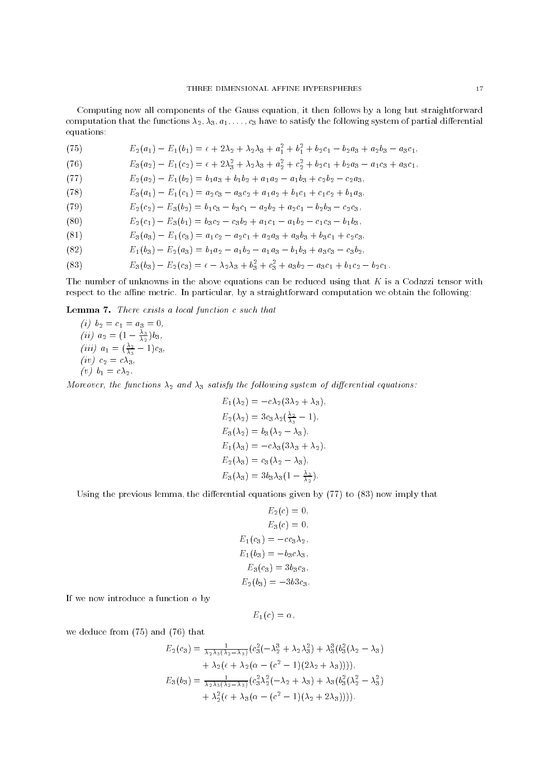Computing now all components of the Gauss equation, it then follows by a long but straightforward computation that the functions  $\lambda_2, \lambda_3, a_1, \ldots, c_3$  have to satisfy the following system of partial differential equations:

(75) 
$$
E_2(a_1) - E_1(b_1) = \epsilon + 2\lambda_2 + \lambda_2\lambda_3 + a_1^2 + b_1^2 + b_2c_1 - b_2a_3 + a_2b_3 - a_3c_1,
$$

(76) 
$$
E_3(a_2) - E_1(c_2) = \epsilon + 2\lambda_3^2 + \lambda_2\lambda_3 + a_2^2 + c_2^2 + b_2c_1 + b_2a_3 - a_1c_3 + a_3c_1,
$$

(77)  $E_2(a_2) - E_1(b_2) = b_1a_3 + b_1b_2 + a_1a_2 - a_1b_3 + c_2b_2 - c_2a_3$ 

(78) 
$$
E_3(a_1) - E_1(c_1) = a_2c_3 - a_3c_2 + a_1a_2 + b_1c_1 + c_1c_2 + b_1a_3,
$$

(79) 
$$
E_2(c_2) - E_3(b_2) = b_1c_3 - b_3c_1 - a_2b_2 + a_2c_1 - b_2b_3 - c_2c_3,
$$

(80) 
$$
E_2(c_1) - E_3(b_1) = b_3c_2 - c_3b_2 + a_1c_1 - a_1b_2 - c_1c_3 - b_1b_3,
$$

$$
(81) \tE3(a3) - E1(c3) = a1c2 - a2c1 + a2a3 + a3b3 + b3c1 + c2c3,
$$

(82) 
$$
E_1(b_3) - E_2(a_3) = b_1a_2 - a_1b_2 - a_1a_3 - b_1b_3 + a_3c_3 - c_3b_2,
$$

(83) 
$$
E_3(b_3) - E_2(c_3) = \epsilon - \lambda_2\lambda_3 + b_3^2 + c_3^2 + a_3b_2 - a_3c_1 + b_1c_2 - b_2c_1.
$$

The number of unknowns in the above equations can be reduced using that  $K$  is a Codazzi tensor with respect to the affine metric. In particular, by a straightforward computation we obtain the following:

Lemma 7. There exists a local function c such that

 $\mathbf{1} \cdot \mathbf{y}$   $\mathbf{z}$   $\mathbf{z}$   $\mathbf{z}$   $\mathbf{y}$   $\mathbf{z}$   $\mathbf{z}$ (*ii*)  $a_2 = (1 - \frac{3}{\lambda_2})b_3$ , (iii)  $a_1 = (\frac{1}{\lambda_3} - 1)c_3$ ,  $\cdots$   $\cdots$ (v)  $b_1 = c\lambda_2$ .

Moreover, the functions  $\lambda_2$  and  $\lambda_3$  satisfy the following system of differential equations:

$$
E_1(\lambda_2) = -c\lambda_2 (3\lambda_2 + \lambda_3),
$$
  
\n
$$
E_2(\lambda_2) = 3c_3\lambda_2 (\frac{\lambda_2}{\lambda_3} - 1),
$$
  
\n
$$
E_3(\lambda_2) = b_3 (\lambda_2 - \lambda_3),
$$
  
\n
$$
E_1(\lambda_3) = -c\lambda_3 (3\lambda_3 + \lambda_2),
$$
  
\n
$$
E_2(\lambda_3) = c_3 (\lambda_2 - \lambda_3),
$$
  
\n
$$
E_3(\lambda_3) = 3b_3\lambda_3 (1 - \frac{\lambda_3}{2}).
$$

Using the previous lemma, the differential equations given by  $(77)$  to  $(83)$  now imply that

$$
E_2(c) = 0,
$$
  
\n
$$
E_3(c) = 0,
$$
  
\n
$$
E_1(c_3) = -c_3\lambda_2,
$$
  
\n
$$
E_1(b_3) = -b_3c\lambda_3,
$$
  
\n
$$
E_3(c_3) = 3b_3c_3,
$$
  
\n
$$
E_2(b_3) = -3b3c_3.
$$

If we now introduce a function  $\alpha$  by

$$
E_1(c)=\alpha,
$$

we deduce from (75) and (76) that

$$
E_2(c_3) = \frac{1}{\lambda_2 \lambda_3 (\lambda_2 - \lambda_3)} (c_3^2 (-\lambda_2^3 + \lambda_2 \lambda_3^2) + \lambda_3^3 (b_3^2 (\lambda_2 - \lambda_3) + \lambda_2 (\epsilon + \lambda_2 (\alpha - (c^2 - 1)(2\lambda_2 + \lambda_3))))
$$
\n
$$
E_3(b_3) = \frac{1}{\lambda_2 \lambda_3 (\lambda_2 - \lambda_3)} (c_3^2 \lambda_2^2 (-\lambda_2 + \lambda_3) + \lambda_3 (b_3^2 (\lambda_2^2 - \lambda_3^2) + \lambda_2^2 (\epsilon + \lambda_3 (\alpha - (c^2 - 1)(\lambda_2 + 2\lambda_3))))
$$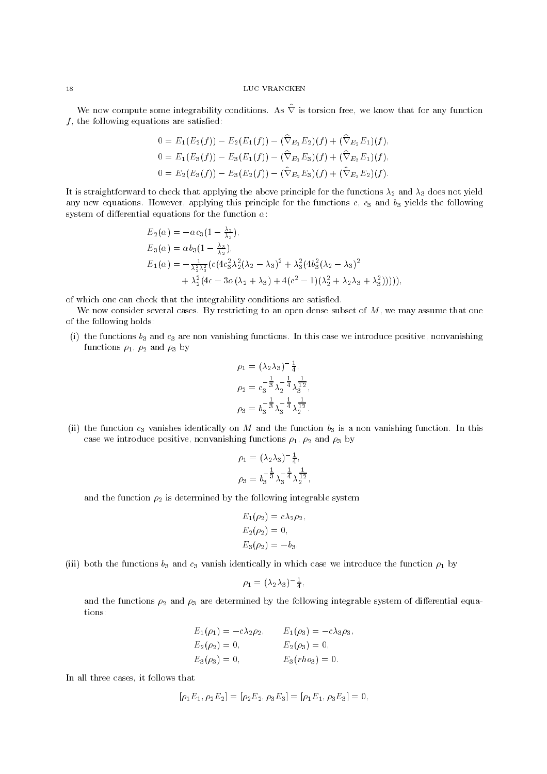We now compute some integrability conditions. As  $\hat{\nabla}$  is torsion free, we know that for any function  $f$ , the following equations are satisfied:

$$
0 = E_1(E_2(f)) - E_2(E_1(f)) - (\nabla_{E_1} E_2)(f) + (\nabla_{E_2} E_1)(f),
$$
  
\n
$$
0 = E_1(E_3(f)) - E_3(E_1(f)) - (\hat{\nabla}_{E_1} E_3)(f) + (\hat{\nabla}_{E_3} E_1)(f),
$$
  
\n
$$
0 = E_2(E_3(f)) - E_3(E_2(f)) - (\hat{\nabla}_{E_2} E_3)(f) + (\hat{\nabla}_{E_3} E_2)(f).
$$

It is straightforward to check that applying the above principle for the functions  $\lambda_2$  and  $\lambda_3$  does not yield any new equations. However, applying this principle for the functions  $c$ ,  $c_3$  and  $b_3$  yields the following system of differential equations for the function  $\alpha$ :

$$
E_2(\alpha) = -\alpha c_3 (1 - \frac{\lambda_2}{\lambda_3}),
$$
  
\n
$$
E_3(\alpha) = \alpha b_3 (1 - \frac{\lambda_3}{\lambda_2}),
$$
  
\n
$$
E_1(\alpha) = -\frac{1}{\lambda_2^2 \lambda_3^2} (c(4c_3^2 \lambda_2^2 (\lambda_2 - \lambda_3)^2 + \lambda_3^2 (4b_3^2 (\lambda_2 - \lambda_3)^2 + \lambda_2^2 (4\epsilon - 3\alpha(\lambda_2 + \lambda_3) + 4(c^2 - 1)(\lambda_2^2 + \lambda_2 \lambda_3 + \lambda_3^2))))),
$$

of which one can check that the integrability conditions are satisfied.

We now consider several cases. By restricting to an open dense subset of  $M$ , we may assume that one of the following holds:

(i) the functions  $b_3$  and  $c_3$  are non vanishing functions. In this case we introduce positive, nonvanishing functions  $\rho_1$ ,  $\rho_2$  and  $\rho_3$  by

$$
\rho_1 = (\lambda_2 \lambda_3)^{-\frac{1}{4}},
$$
  
\n
$$
\rho_2 = c_3^{-\frac{1}{3}} \lambda_2^{-\frac{1}{4}} \lambda_3^{\frac{1}{12}},
$$
  
\n
$$
\rho_3 = b_3^{-\frac{1}{3}} \lambda_3^{-\frac{1}{4}} \lambda_2^{\frac{1}{12}}.
$$

(ii) the function  $c_3$  vanishes identically on M and the function  $b_3$  is a non vanishing function. In this case we introduce positive, nonvanishing functions  $\rho_1$ ,  $\rho_2$  and  $\rho_3$  by

$$
\rho_1 = (\lambda_2 \lambda_3)^{-\frac{1}{4}},
$$
  

$$
\rho_3 = b_3^{-\frac{1}{3}} \lambda_3^{-\frac{1}{4}} \lambda_2^{\frac{1}{12}},
$$

and the function  $\rho_2$  is determined by the following integrable system

$$
E_1(\rho_2) = c\lambda_2 \rho_2, \nE_2(\rho_2) = 0, \nE_3(\rho_2) = -b_3.
$$

(iii) both the functions  $b_3$  and  $c_3$  vanish identically in which case we introduce the function  $\rho_1$  by

$$
\rho_1 = (\lambda_2 \lambda_3)^{-\frac{1}{4}},
$$

and the functions  $\rho_2$  and  $\rho_3$  are determined by the following integrable system of differential equations:

$$
E_1(\rho_1) = -c\lambda_2 \rho_2, \qquad E_1(\rho_3) = -c\lambda_3 \rho_3, \nE_2(\rho_2) = 0, \qquad E_2(\rho_3) = 0, \nE_3(\rho_3) = 0, \qquad E_3(rho_3) = 0.
$$

In all three cases, it follows that

$$
[\rho_1 E_1, \rho_2 E_2] = [\rho_2 E_2, \rho_3 E_3] = [\rho_1 E_1, \rho_3 E_3] = 0,
$$

 $18$